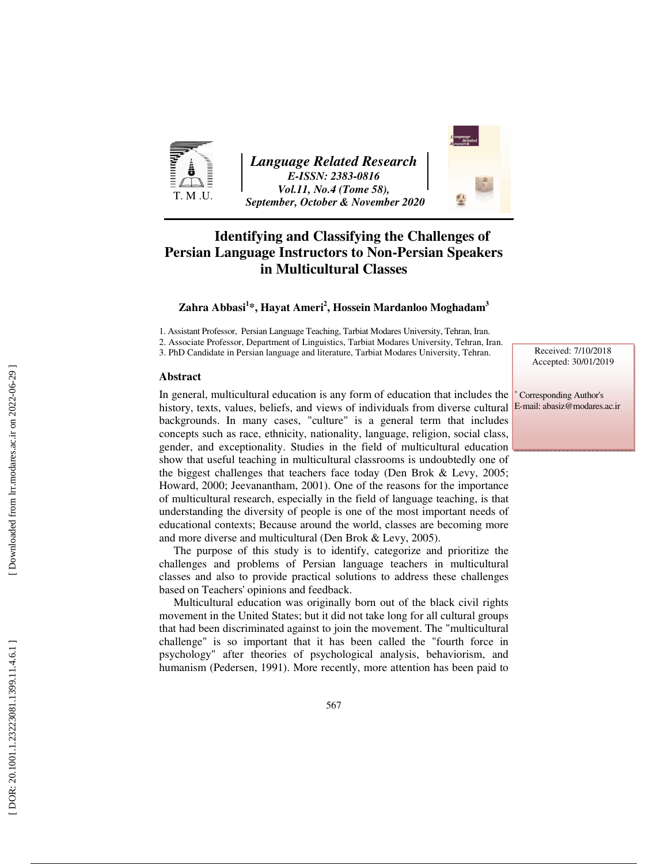

*Language Related Research E-ISSN: 2383-0816 Vol.11, No.4 (Tome 58), September, October & November 2020* 



### **Identifying and Classifying the Challenges of Persian Language Instructors to Non-Persian Speakers in Multicultural Classes**

#### **Zahra Abbasi 1 \*, Hayat Ameri 2 , Hossein Mardanloo Moghadam 3**

1. Assistant Professor, Persian Language Teaching, Tarbiat Modares University, Tehran, Iran.

2. Associate Professor, Department of Linguistics, Tarbiat Modares University, Tehran, Iran.

3. PhD Candidate in Persian language and literature, Tarbiat Modares University, Tehran.

#### **Abstract**

In general, multicultural education is any form of education that includes the history, texts, values, beliefs, and views of individuals from diverse cultural backgrounds. In many cases, "culture" is a general term that includes concepts such as race, ethnicity, nationality, language, religion, social class, gender, and exceptionality. Studies in the field of multicultural education show that useful teaching in multicultural classrooms is undoubtedly one of the biggest challenges that teachers face today (Den Brok & Levy, 2005; Howard, 2000; Jeevanantham, 2001). One of the reasons for the importance of multicultural research, especially in the field of language teaching, is that understanding the diversity of people is one of the most important needs of educational contexts; Because around the world, classes are becoming more and more diverse and multicultural (Den Brok & Levy, 2005).

The purpose of this study is to identify, categorize and prioritize the challenges and problems of Persian language teachers in multicultural classes and also to provide practical solutions to address these challenges based on Teachers' opinions and feedback.

Multicultural education was originally born out of the black civil rights movement in the United States; but it did not take long for all cultural groups that had been discriminated against to join the movement. The "multicultural challenge" is so important that it has been called the "fourth force in psychology" after theories of psychological analysis, behaviorism, and humanism (Pedersen, 1991). More recently, more attention has been paid to

Received: 7/10/2018 Accepted: 30/01/2019

∗ Corresponding Author's E-mail: abasiz@modares.ac.ir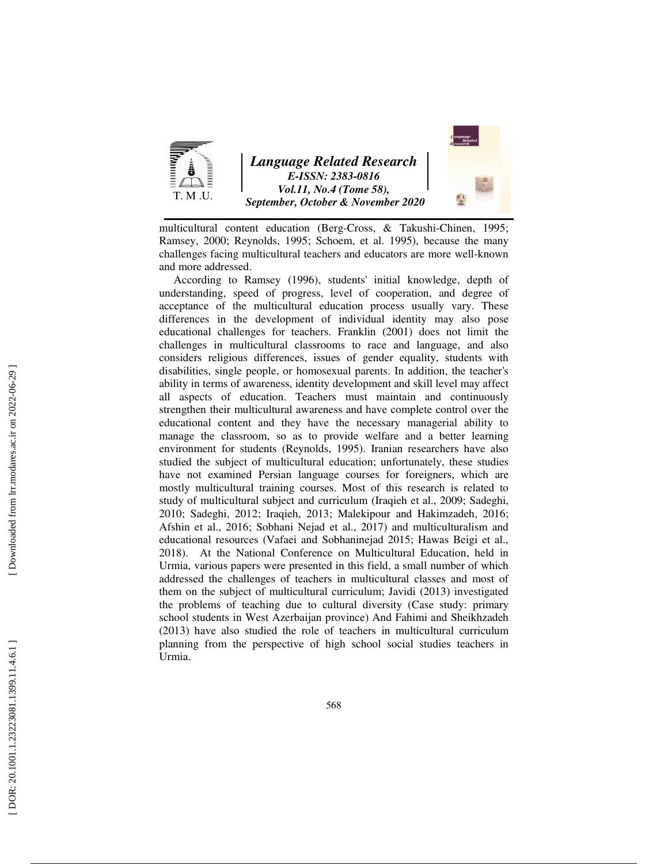

multicultural content education (Berg-Cross, & Takushi-Chinen, 1995; Ramsey, 2000; Reynolds, 1995; Schoem, et al. 1995), because the many challenges facing multicultural teachers and educators are more well-known and more addressed.

According to Ramsey (1996), students' initial knowledge, depth of understanding, speed of progress, level of cooperation, and degree of acceptance of the multicultural education process usually vary. These differences in the development of individual identity may also pose educational challenges for teachers. Franklin (2001) does not limit the challenges in multicultural classrooms to race and language, and also considers religious differences, issues of gender equality, students with disabilities, single people, or homosexual parents. In addition, the teacher's ability in terms of awareness, identity development and skill level may affect all aspects of education. Teachers must maintain and continuously strengthen their multicultural awareness and have complete control over the educational content and they have the necessary managerial ability to manage the classroom, so as to provide welfare and a better learning environment for students (Reynolds, 1995). Iranian researchers have also studied the subject of multicultural education; unfortunately, these studies have not examined Persian language courses for foreigners, which are mostly multicultural training courses. Most of this research is related to study of multicultural subject and curriculum (Iraqieh et al., 2009; Sadeghi, 2010; Sadeghi, 2012; Iraqieh, 2013; Malekipour and Hakimzadeh, 2016; Afshin et al., 2016; Sobhani Nejad et al., 2017) and multiculturalism and educational resources (Vafaei and Sobhaninejad 2015; Hawas Beigi et al., 2018). At the National Conference on Multicultural Education, held in Urmia, various papers were presented in this field, a small number of which addressed the challenges of teachers in multicultural classes and most of them on the subject of multicultural curriculum; Javidi (2013) investigated the problems of teaching due to cultural diversity (Case study: primary school students in West Azerbaijan province) And Fahimi and Sheikhzadeh (2013) have also studied the role of teachers in multicultural curriculum planning from the perspective of high school social studies teachers in Urmia.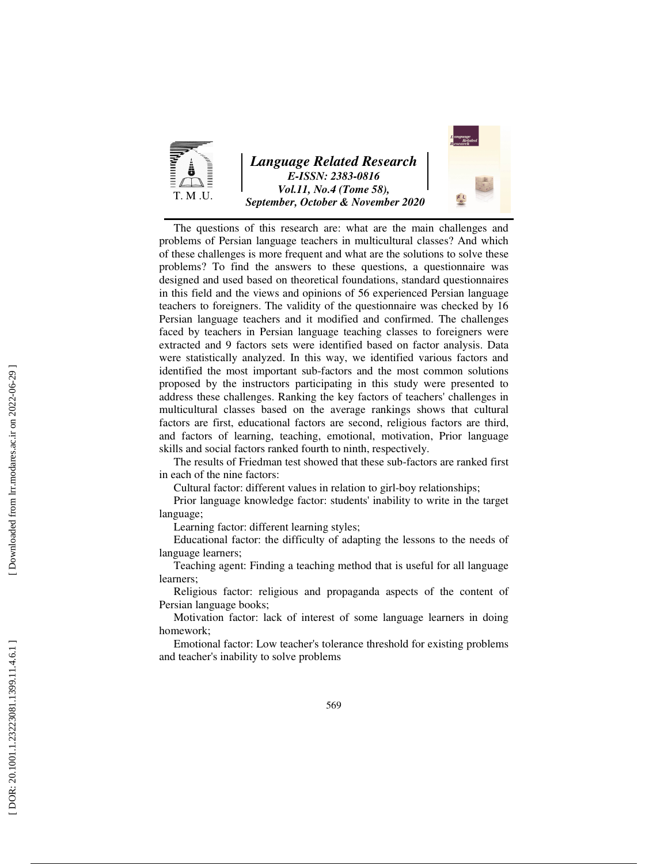

The questions of this research are: what are the main challenges and problems of Persian language teachers in multicultural classes? And which of these challenges is more frequent and what are the solutions to solve these problems? To find the answers to these questions, a questionnaire was designed and used based on theoretical foundations, standard questionnaires in this field and the views and opinions of 56 experienced Persian language teachers to foreigners. The validity of the questionnaire was checked by 16 Persian language teachers and it modified and confirmed. The challenges faced by teachers in Persian language teaching classes to foreigners were extracted and 9 factors sets were identified based on factor analysis. Data were statistically analyzed. In this way, we identified various factors and identified the most important sub-factors and the most common solutions proposed by the instructors participating in this study were presented to address these challenges. Ranking the key factors of teachers' challenges in multicultural classes based on the average rankings shows that cultural factors are first, educational factors are second, religious factors are third, and factors of learning, teaching, emotional, motivation, Prior language skills and social factors ranked fourth to ninth, respectively.

The results of Friedman test showed that these sub-factors are ranked first in each of the nine factors:

Cultural factor: different values in relation to girl-boy relationships;

Prior language knowledge factor: students' inability to write in the target language;

Learning factor: different learning styles;

Educational factor: the difficulty of adapting the lessons to the needs of language learners;

Teaching agent: Finding a teaching method that is useful for all language learners;

Religious factor: religious and propaganda aspects of the content of Persian language books;

Motivation factor: lack of interest of some language learners in doing homework;

Emotional factor: Low teacher's tolerance threshold for existing problems and teacher's inability to solve problems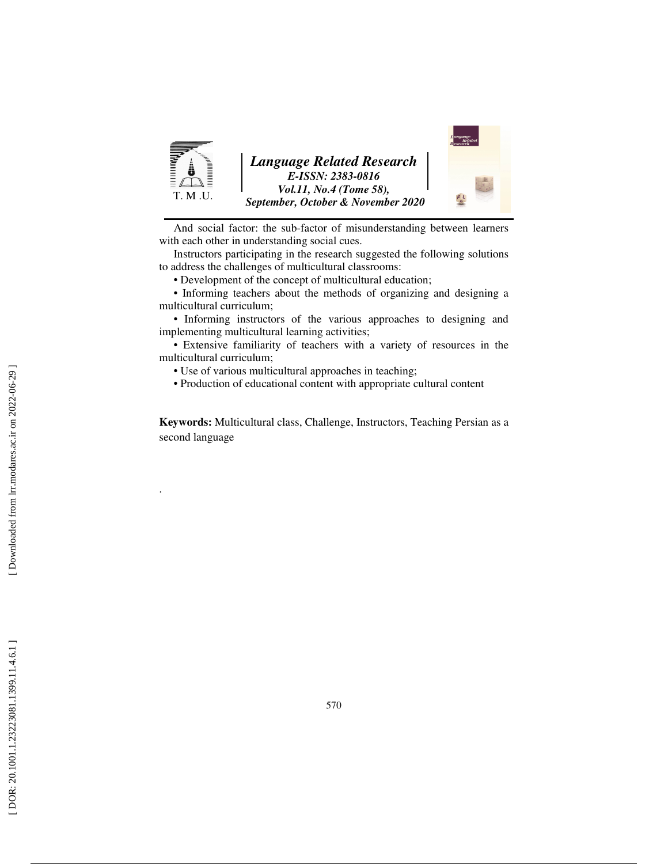

And social factor: the sub-factor of misunderstanding between learners with each other in understanding social cues.

Instructors participating in the research suggested the following solutions to address the challenges of multicultural classrooms:

• Development of the concept of multicultural education;

• Informing teachers about the methods of organizing and designing a multicultural curriculum;

• Informing instructors of the various approaches to designing and implementing multicultural learning activities;

• Extensive familiarity of teachers with a variety of resources in the multicultural curriculum;

• Use of various multicultural approaches in teaching;

• Production of educational content with appropriate cultural content

**Keywords:** Multicultural class, Challenge, Instructors, Teaching Persian as a second language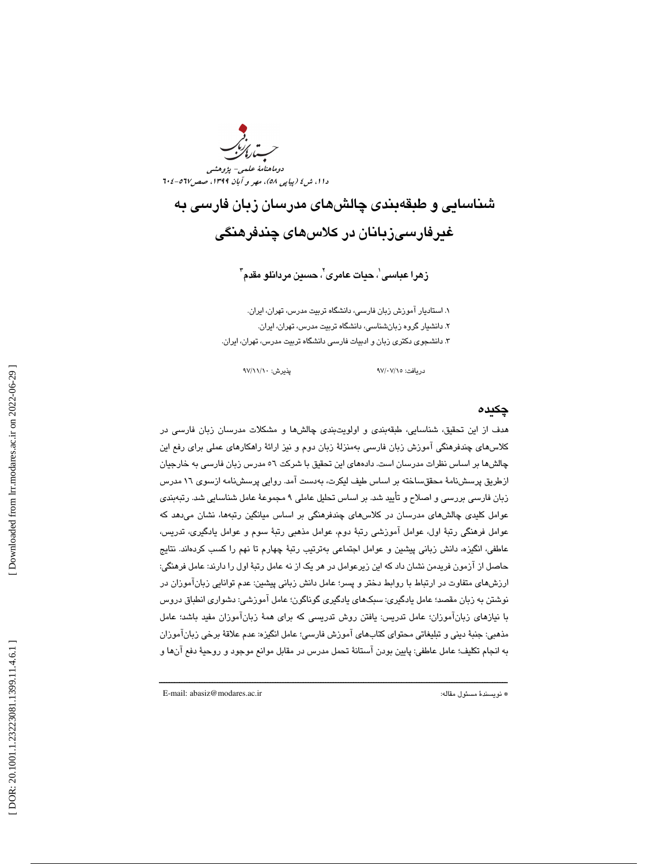و<br>دوماهنامهٔ علم دا ۱، ش ٤ ( پيا پي ٥٨)، مهر و آبان ١٣٩٩، صص١٧-٢٠٤ -

# شناسايي و طبقهبندي چالشهاي مدرسان زبان فارسي به غيرفارسيزبانان در كلاس *ه*اي چندفرهنگي

زهرا عباسى'، حيات عامرى'، حسين مردانلو مقدم"

. 1 استاديار آ موزش زبان فارسي، دانشگاه تربيت مدرس، تهران، ايران. د. 2 انشيار گروه زبانشناسي ، دانشگاه تربيت مدرس، تهران، ايران. . 3 دانشجوي دكتري زبان و ادبيات فارسي دانشگاه تربيت مدرس، تهران، ايران.

دريافت: 15/ 07/ 97 پذيرش: 10/ 11/ 97

#### چكيده

هدف از اين تحقيق، شناسايي، طبقهبندي و اولويت بندي چالش ها و مشكلات مدرسان زبان فارسي در كلاسهاي چندفرهنگي آموزش زبان فارسي بهمنزلهٔ زبان دوم و نيز ارائهٔ راهكارهاي عملي براي رفع اين چالشها بر اساس نظرات مدرسان است. دادههای این تحقیق با شرکت ٥٦ مدرس زبان فارسی به خارجیان ازطريق پرسشنامهٔ محققساخته بر اساس طيف ليكرت، بهدست آمد. روايي پرسشنامه ازسوي ١٦ مدرس زبان فارسي بررسي و اصلاح و تأييد شد. بر اساس تحليل عاملي 9 مجموعة عامل شناسايي شد. رتبهبندي عوامل كليدى چالشهاى مدرسان در كلاسهاى چندفرهنگى بر اساس ميانگين رتبهها، نشان مىدهد كه عوامل فرهنگي رتبهٔ اول، عوامل آموزشي رتبهٔ دوم، عوامل مذهبي رتبهٔ سوم و عوامل يادگيري، تدريس، عاطفي، انگيزه، دانش زباني پيشين و عوامل اجتماعي بهترتيب رتبهٔ چهارم تا نهم را كسب كردهاند. نتايج حاصل از آزمون فريدمن نشان داد كه اين زيرعوامل در هر يک از نه عامل رتبهٔ اول را دارند: عامل فرهنگي: ارزشهاي متفاوت در ارتباط با روابط دختر و پسر؛ عامل دانش زباني پيشين: عدم توانايي زبانآموزان در نوشتن به زبان مقصد؛ عامل يادگيري: سبکهاي يادگيري گوناگون؛ عامل آموزشي: دشواري انطباق دروس با نيازهاي زبانآموزان؛ عامل تدريس: يافتن روش تدريسي كه براي هم ة زبانآموزان مفيد باشد؛ عامل مذهبي: جنبهٔ ديني و تبليغاتي محتواي كتابهاي آموزش فارسي؛ عامل انگيزه: عدم علاقهٔ برخي زبانآموزان به انجام تكليف؛ عامل عاطفي: پايين بودن آستانهٔ تحمل مدرس در مقابل موانع موجود و روحيهٔ دفع آنها و

ــــــــــــــــــــــــــــــــــــــــــــــــــــــــــــــــــــــــــــــــــــــــــــــــــــــــــــــــــــــــــــــــــــــــــ

E-mail: abasiz@modares.ac.ir :مقاله مسئول نويسندة\*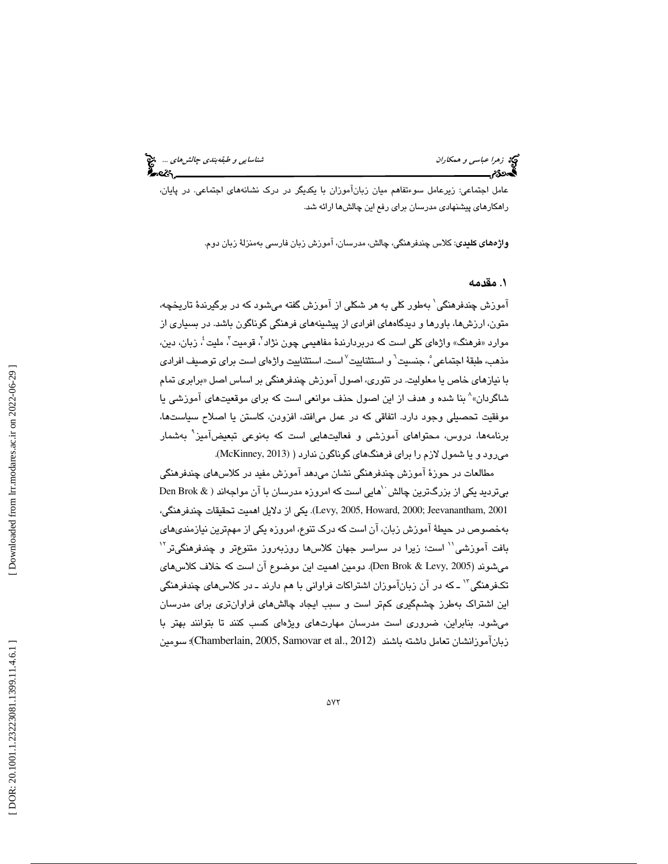تي: ز*هرا عباسي و همكاران* شناسايي *و طبقهبندي چالشهاي ...*. چ<mark>خ</mark><br>پهروزم سناسايي و همكا*ران*<br>پهروزم سناسايي چالي چالي پالان بالان بالان بالان بالان بالان بالان بالان بالان بالان بالان بالان بالان بالان بال

عامل اجتماعي: زيرعامل سوءتفاهم ميان زبانآموزان با يكديگر در درك نشانههاي اجتماعي. در پايان ، راهکارهای پیشنهادی مدرسان برای رفع این چالشها ارائه شد.

**واژههای کلیدی**: کلاس چندفرهنگی، چالش، مدرسان، آموزش زبان فارسی بهمنزلهٔ زبان دوم.

#### . 1 مقدمه

آموزش چندفرهنگی ٰ بهطور کلی به هر شکلی از آموزش گفته میشود که در برگیرندهٔ تاریخچه، متون، ارزشها، باورها و ديدگاههاي افرادي از پيشينههاي فرهنگي گوناگون باشد. در بسياري از موارد «فرهنگ» واژهای کلی است که دربردارندهٔ مفاهیمی چون نژاد<sup>۲</sup>، قومیت<sup>۳</sup>، ملیت ٔ، زبان، دین، مذهب، طبقهٔ اجتماعی ْ، جنسیت <sup>٦</sup> و استثناییت ٰ است. استثناییت واژهای است برای توصیف افرادی با نیازهای خاص یا معلولیت. در تئوری، اصول آموزش چندفرهنگی بر اساس اصل «برابری تمام با نیازهای خاص یا معلولیت. در تئوری، اصول اموزش چندفرهنگی بر اساس اصل «برابری تمام<br>شاگردان»^ بنا شده و هدف از این اصول حذف موانعی است که برای موقعیتهای آموزشی یا موفقيت تحصيلي وجود دارد. اتفاقي كه در عمل ميافتد، افزودن، كاستن يا اصلاح سياستها، برنامهها، دروس، محتواهای آموزشی و فعالیتهایی است كه بهنوعی تبعیضآمیز<sup>۹</sup> بهشمار ميرود و يا شمول لازم را براي فرهنگهاي گوناگون ندارد ( (2013 ,McKinney(.

مطالعات در حوزة آموزش چندفرهنگي نشان ميدهد آموزش مفيد در كلاسهاي چندفرهنگي بیتردید یکی از بزرگترین چالش ``هایی است که امروزه مدرسان با آن مواجهاند ( & Den Brok 2001 ,Jeevanantham; 2000 ,Howard 2005, ,Levy(. يكي از دلايل اهميت تحقيقات چندفرهنگي، بهخصوص در حيط ة آموزش زبان، آن است كه درك تنوع، امروزه يكي از مهمترين نيازمنديهاي بافت آموزشی'' است؛ زیرا در سراسر جهان کلاس۵ا روزبهروز متنوعتر و چندفرهنگیتر<sup>۱۲</sup> ميشوند (2005 ,Levy & Brok Den . (دومين اهميت اين موضوع آن است كه خلاف كلاسهاي تكفرهنگي '` ــ كه در آن زبانآموزان اشتراكات فراواني با هم دارند ــ در كلاس،*ه*اي چندفرهنگي اين اشتراك بهطرز چشمگيري كمتر است و سبب ايجاد چالشهاي فراوانتري براي مدرسان ش مي ود. بنابراين، ضروري است مدرسان مهارتهاي ويژهاي كسب كنند تا بتوانند بهتر با 1 زبانآموزانشان تعامل داشته باشند (2012 .,al et Samovar 2005, ,Chamberlain(؛ سومين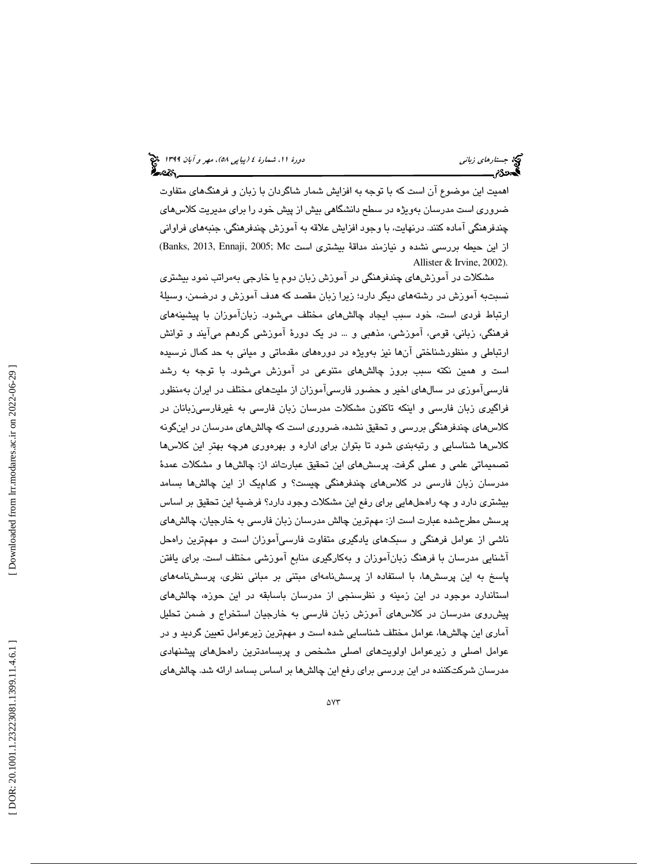# (پياپي 58)، مهر و آبان 1399 جستارهاي زباني دورة ،11 شمارة 4

اهميت اين موضوع آن است كه با توجه به افزايش شمار شاگردان با زبان و فرهنگهاي متفاوت ضروري است مدرسان بهويژه در سطح دانشگاهي بيش از پيش خود را براي مديريت كلاسهاي چندفرهنگي آماده كنند. درنهايت ، با وجود افزايش علاقه ب ه آموزش چندفرهنگي ، جنبههاي فراواني از اين حيطه بررسي نشده و نيازمند مداقة بيشتري است Banks, 2013, Ennaji, 2005; Mc) Allister & Irvine, 2002).

مشكلات در آموزش هاي چندفرهنگي در آموزش زبان دوم يا خارجي بهمراتب نمود بيشتري نسبتبه آموزش در رشتههاي ديگر دارد؛ زيرا زبان مقصد كه هدف آموزش و درضمن، وسبلهٔ ارتباط فردي است، خود سبب ايجاد چالشهاي مختلف مي شود. زبان آموزان با پيشينههاي فرهنگي، زباني، قومي، آموزشي، مذهبي و ... در يك دور ة آموزشي گردهم ميآيند و توانش ارتباطي و منظورشناختي آنها نيز بهويژه در دورههاي مقدماتي و مياني به حد كمال نرسيده است و همين نكته سبب بروز چالشهاي متنوعي در آموزش ميشود. با توجه به رشد فارسي آموزي در سالهاي اخير و حضور فارسي آموزان از مليتهاي مختلف در ايران بهمنظور فراگيري زبان فارسي و اينكه تاكنون مشكلات مدرسان زبان فارسي به غيرفارسيزبانان در كلاسهاي چندفرهنگي بررسي و تحقيق نشده، ضروري است كه چالشهاي مدرسان در اينگونه كلاسها شناسايي و رتبهبندي شود تا بتوان براي اداره و بهرهوري هرچه بهترِ اين كلاسها تصمیماتی علمی و عملی گرفت. پرسشهای این تحقیق عبارتاند از: چالشها و مشکلات عمدهٔ مدرسان زبان فارسي در كلاسهاي چندفرهنگي چيست؟ و كداميك ها از اين چالش بسامد بيشتري دارد و چه راه ها حل يي براي رفع اين مشكلات وجود دارد؟ فرضية اين تحقيق بر اساس پرسش مطرحشده عبارت است از: مهمترين چالش مدرسان زبان فارسي به خارجيان، چالشهاي ناشي از عوامل فرهنگي و سبكهاي يادگيري متفاوت فارسيآموزان است و مهمترين راهحل آشنايي مدرسان با فرهنگ زبانآموزان و بهكارگيري منابع آموزشي مختلف است. براي يافتن پاسخ به اين پرسشها، با استفاده از پرسشنامهاي مبتني بر مباني نظري، پرسشنامههاي استاندارد موجود در اين زمينه و نظرسنجي از مدرسان باسابقه در اين حوزه، چالشهاي پيش روي مدرسان در كلاس هاي آموزش زبان فارسي به خارجيان استخراج و ضمن تحليل آماري اين چالش&ا، عوامل مختلف شناسايي شده است و مهمترين زيرعوامل تعيين گرديد و در عوامل اصلي و زيرعوامل اولويتهاى اصلي مشخص و پربسامدترين راهحلهاى پيشنهادى مدرسان شركتكننده در اين بررسي براي رفع اين چالشها بر اساس بسامد ارائه شد. چالشهاي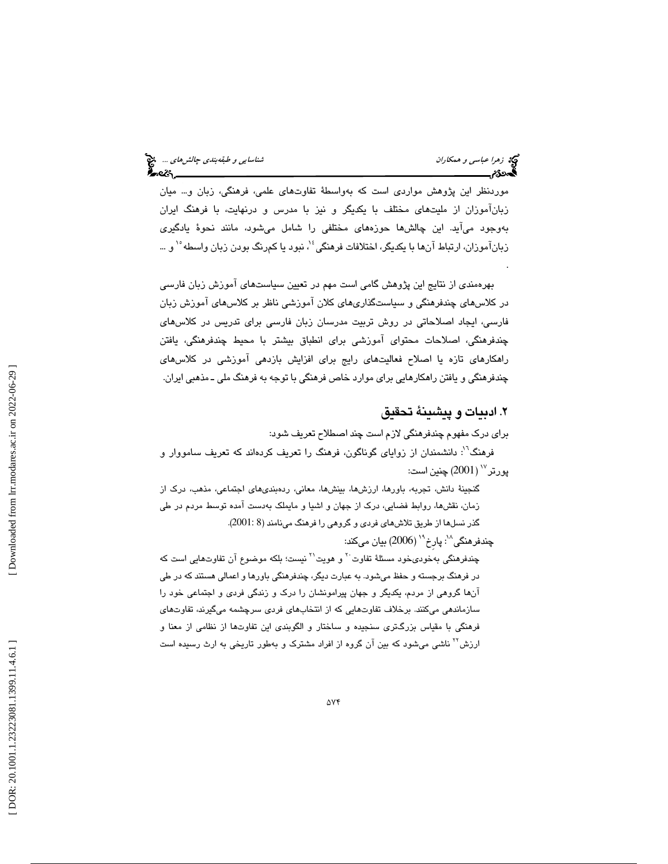.

موردنظر اين پژوهش مواردي است كه بهواسطهٔ تفاوتهاى علمي، فرهنگي، زبان و… ميان زبانآموزان از مليتهاي مختلف با يكديگر و نيز با مدرس و درنهايت ، با فرهنگ ايران بهوجود مي آيد. اين چالشها حوزههاى مختلفى را شامل مى شود، مانند نحوهٔ يادگيرى زبانآموزان، ارتباط آنها با يكديگر، اختلافات فرهنگي<sup>؛ ۱</sup>، نبود يا كمرنگ بودن زبان واسطه <sup>۱۰</sup> و …

بهرهمندي از نتايج اين پژوهش گامي است مهم در تعيين سياستهاي آموزش زبان فارسي در كلاسهاي چندفرهنگي و سياستگذاريهاي كلان آموزشي ناظر بر كلاسهاي آموزش زبان فارسي، ايجاد اصلاحاتي در روش تربيت مدرسان زبان فارسي براي تدريس در كلاسهاي چندفرهنگی، اصلاحات محتوای اموزشی برای انطباق بیشتر با محیط چندفرهنگی، یافتن راهكارهاي تازه يا اصلاح فعاليتهاي رايج براي افزايش بازدهي آموزشي در كلاسهاي چندفرهنگي و يافتن راهكارهايي براي موارد خاص فرهنگي با توجه به فرهنگ ملي ـ مذهبي ايران.

٢. ادبيات و پيشينهٔ تحقيق

براي درك مفهوم چندفرهنگي لازم است چند اصطلاح تعريف شود : فرهنگ<sup>٬۲</sup>: دانشمندان از زواياي گوناگون، فرهنگ را تعريف كردهاند كه تعريف سامووار و  $_{2001}$  (2001) چنين است:

گنجينة دانش، تجربه، باورها، ارزشها، بينشها، معاني، ردهبندي هاي اجتماعي، مذهب، درك از زمان، نقشها، روابط فضايي، درك از جهان و اشيا و مايملك بهدست آمده توسط مردم در طي گذر نسلها از طريق تلاشهاي فردي و گروهي را فرهنگ مينامند ( 8 2001: .)

چندفرهنگی $^{\backprime\prime}$ : پارخ $^{\backprime\prime}\left(2006\right)$  بیان میکند:

چندفرهنگی بهخودی،خود مسئلهٔ تفاوت<sup>۲۰</sup> و هویت<sup>۲۱</sup> نیست؛ بلکه موضوع آن تفاوتهایی است که در فرهنگ برجسته و حفظ ميشود. به عبارت ديگر ، چندفرهنگي باورها و اعمالي هستند كه در طي آنها گروهي از مردم ، يكديگر و جهان پيرامونشان را درك و زندگي فردي و اجتماعي خود را سازماندهي ميكنند. برخلاف تفاوتهايي كه از انتخابهاي فردي سرچشمه ميگيرند، تفاوتهاي فرهنگي با مقياس بزرگتري سنجيده و ساختار و الگوبندي اين تفاوتها از نظامي از معنا و ارزش<sup>۲۲</sup> ناشي ميشود كه بين آن گروه از افراد مشترك و بهطور تاريخي به ارث رسيده است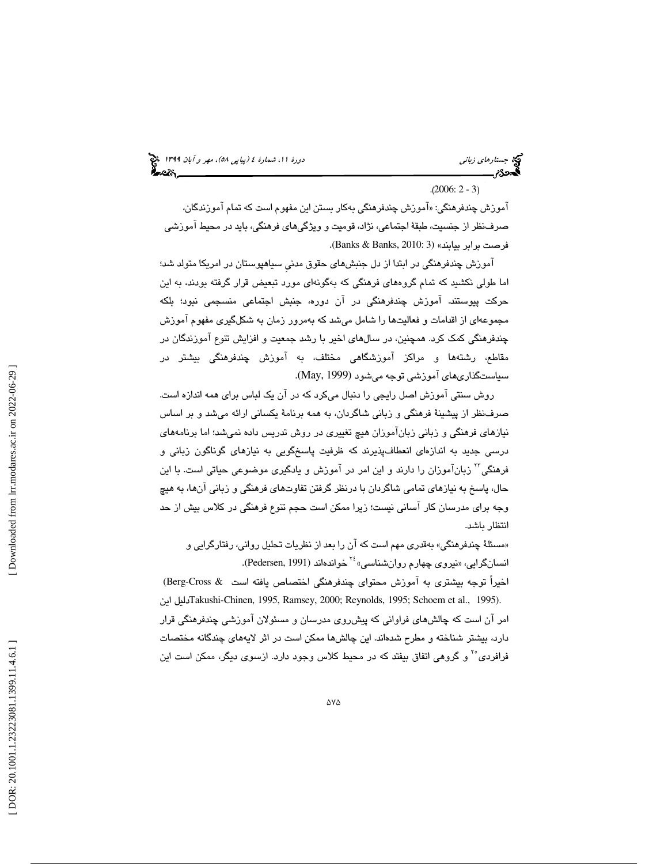(پياپي 58)، مهر و آبان 1399 جستارهاي زباني دورة ،11 شمارة 4

 $(2006: 2 - 3)$ 

اموزش چندفرهنگی: «اموزش چندفرهنگی بهکار بستن این مفهوم است که تمام اموزندگان، صرف نظر از جنسيت، طبقهٔ اجتماعی، نژاد، قوميت و ويژگيهای فرهنگی، بايد در محيط آموزشی<br>فرصت برابر بيابند» (3 Banks & Banks, 2010: 3).

اموزش چندفرهنگی در ابتدا از دل جنبشهای حقوق مدنی سیاهپوستان در امریکا متولد شد؛ اما طولي نكشيد كه تمام گروههاي فرهنگي كه بهگونهاي مورد تبعيض قرار گرفته بودند، به اين حركت پيوستند. آموزش چندفرهنگي در آن دوره، جنبش اجتماعي منسجمي نبود؛ بلكه مجموعهای از اقدامات و فعالیتها را شامل میشد كه بهمرور زمان به شكلگیری مفهوم آموزش چندفرهنگي كمك كرد. همچنين ، در سالهاي اخير با رشد جمعيت و افزايش تنوع آموزندگان در مقاطع، رشتهها و مراكز اموزشگاهی مختلف، به اموزش چندفرهنگی بیشتر در سياستگذاريهاي آموزشي توجه ميشود (1999 ,May(.

وش سنتي آموزش اصل رايجي را دنبال ميكرد كه در آن يك لباس براي همه اندازه است. ر صرفنظر از پيشينهٔ فرهنگي و زباني شاگردان، به همه برنامهٔ يكساني ارائه ميشد و بر اساس نيازهاي فرهنگي و زباني زبانآموزان هيچ تغييري در روش تدريس داده نميشد؛ اما برنامههاي درسي جديد به اندازهاي انعطافپذير ند كه ظرفيت پاسخگويي به نيازهاي گوناگون زباني و فرهنگي<sup>۲۲</sup> زبانآموزان را دارند و اين امر در آموزش و يادگيري موضوعي حياتي است. با اين حال، پاسخ به نيازهاي تمامي شاگردان با درنظر گرفتن تفاوتهاي فرهنگي و زباني آنها، به هيچ وجه براي مدرسان كار آساني نيست؛ زيرا ممكن است حجم تنوع فرهنگي در كلاس بيش از حد انتظار باشد.

«مسئلهٔ چندفرهنگی» بهقدری مهم است که ان را بعد از نظریات تحلیل روان*ی،* رفتارگرایی و انسانگرايي، «نيروی چهارم روانشناسي»<sup>۲</sup> خواندهاند (Pedersen, 1991).

اخيراً توجه بيشتري به آموزش محتواي چندفرهنگي اختصاص يافته است & Cross-Berg ( Takushiدليل اين -Chinen, 1995, Ramsey, 2000; Reynolds, 1995; Schoem et al., 1995). امر آن است كه چالشهاي فراواني كه پيشروي مدرسان و مسئولان آموزشي چندفرهنگي قرار دارد، بيشتر شناخته و مطرح شدهاند. اين چالشها ممكن است در اثر لايههاي چندگانه مختصات فرافردی°<sup>۱</sup> و گروهی اتفاق بیفتد كه در محیط كلاس وجود دارد. ازسوی دیگر، ممكن است این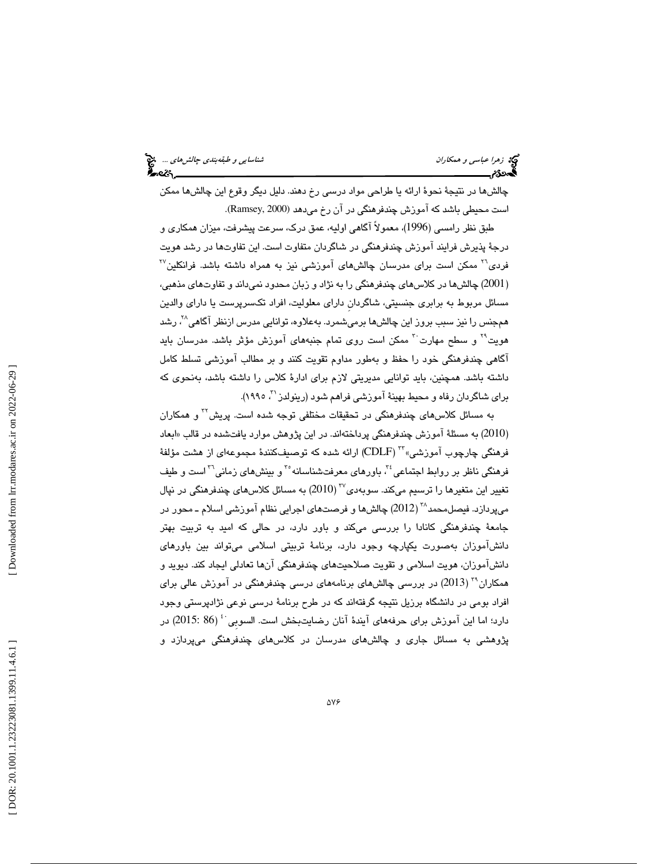چالشها در نتيجهٔ نحوهٔ ارائه يا طراحي مواد درسي رخ دهند. دليل ديگر وقوع اين چالشها ممكن است محيطي باشد كه آموزش چندفرهنگي در آن رخ ميدهد (2000 ,Ramsey(.

طبق نظر رامسي (1996 ،) معمولاً آگاهي اوليه، عمق درك، سرعت پيشرفت، ميزان همكاري و درجهٔ پذيرش فرايند اموزش چندفرهنگی در شاگردان متفاوت است. اين تفاوتها در رشد هويت  $^{77}$  همکن است برای مدرسان چالشهای آموزشی نیز به همراه داشته باشد. فرانکلین $^{77}$ (2001) چالش،ها در كلاس،های چندفرهنگی را به نژاد و زبان محدود نمیداند و تفاوت،ای مذهبی، مسائل مربوط به برابري جنسيتي، شاگردانِ داراي معلوليت، افراد تكسرپرست يا داراي والدين همجنس را نیز سبب بروز این چالش،ها برمیشمرد. بهعلاوه، توانایی مدرس ازنظر آگاهی<sup>۲۸</sup>، رشد هويت<sup>٢١</sup> و سطح مهارت<sup>٣٠</sup> ممكن است روى تمام جنبههاى آموزش مؤثر باشد. مدرسان بايد آگاهي چندفرهنگي خود را حفظ و بهطور مداوم تقويت كنند و بر مطالب آموزشي تسلط كامل داشته باشد. همچنين، بايد توانايي مديريتي لازم براي ادار ة كلاس را داشته باشد، بهنحوي كه براي شاگردان رفاه و محيط بهينهٔ آموزشي فراهم شود (رينولدز ``، ١٩٩٥).

به مسائل كلاس $\omega$ مای چندفرهنگی در تحقیقات مختلفی توجه شده است. پریش $^{Y}$  و همكاران (2010) به مسئلهٔ آموزش چندفرهنگی پرداختهاند. در این پژوهش موارد یافتشده در قالب «ابعاد فرهنگي چارچوب آموزشي» ``` (CDLF) ارائه شده كه توصيفكنندهٔ مجموعهاي از هشت مؤلفهٔ فرهنگي ناظر بر روابط اجتماعي <sup>٢٤</sup>. باورهاي معرفتشناسانه °<sup>٢</sup> و بينشهاي زماني<sup>٢٦</sup> است و طيف تغيير اين متغيرها را ترسيم ميكند. سوبەدى $^{77}\, (2010)$  به مسائل كلاس $\omega$ ماي چندفرهنگي در نپال میپردازد. فیصل،حمد ``` (2012) چالش۵ا و فرصتهای اجرایی نظام آموزشی اسلام ـ محور در جامعهٔ چندفرهنگی كانادا را بررسی میكند و باور دارد، در حالی كه امید به تربیت بهتر دانشآموزان بهصورت يكپارچه وجود دارد، برنامهٔ تربيتي اسلامي ميتواند بين باورهاي دانشآموزان، هويت اسلامي و تقويت صلاحيتهاي چندفرهنگي آنها تعادلي ايجاد كند. ديويد و همکاران<sup>۳۹</sup> ( 2013) در بررسی چالشهای برنامههای درسی چندفرهنگی در آموزش عالی برای افراد بومی در دانشگاه برزیل نتیجه گرفتهاند که در طرح برنامهٔ درسی نوعی نژادپرستی وجود<br>دارد؛ اما این آموزش برای حرفههای آیندهٔ آنان رضایتبخش است. السوبی <sup>: ؛</sup> (2015) در پژوهشي به مسائل جاري و چالشهاي مدرسان در كلاسهاي چندفرهنگي ميپردازد و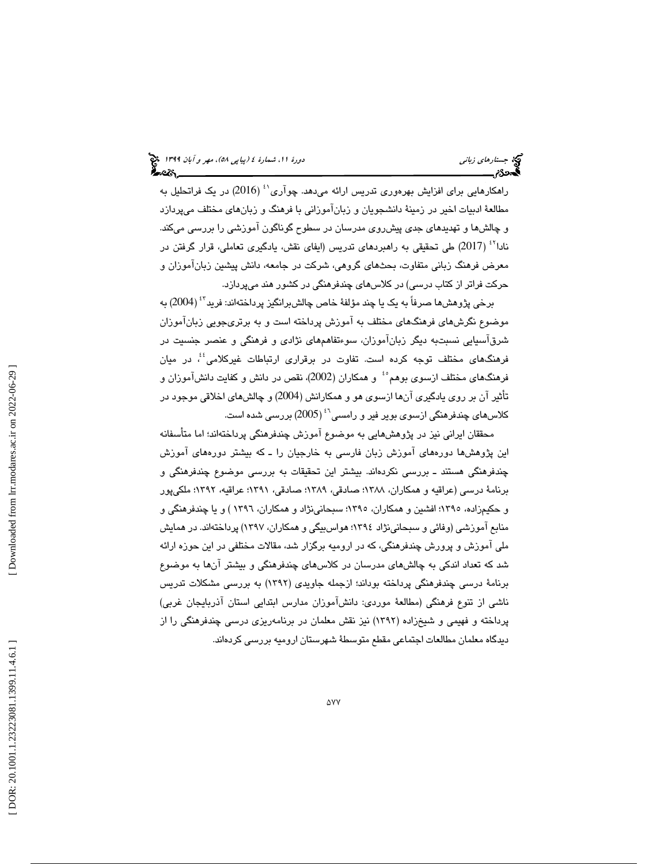راهکارهايي برای افزايش بهرهوری تدريس ارائه میدهد. چوآری<sup>،،</sup> (2016) در يک فراتحليل به مطالعهٔ ادبیات اخیر در زمینهٔ دانشجویان و زبانآموزانی با فرهنگ و زبانهای مختلف میپردازد و چالشها و تهديدهاي جدي پيشروي مدرسان در سطوح گوناگون آموزشي را بررسي ميكند. نادا<sup>٢٢ (2017) طي تحقيقي به راهبردهاي تدريس (ايفاي نقش، يادگيري تعاملي، قرار گرفتن در</sup> معرض فرهنگ زباني متفاوت، بحثهاي گروهي، شركت در جامعه، دانش پيشين زبانآموزان و حركت فراتر از كتاب درسي) در كلاسهاي چندفرهنگي در كشور هند ميپردازد.

برخي پژوهشها صرفاً به يک يا چند مؤلفهٔ خاص چالشبرانگيز پرداختهاند: فريد<sup>۶۲</sup> (2004) به موضوع نگرشهای فرهنگهای مختلف به آموزش پرداخته است و به برتریجویی زبانآموزان شرقآسيايي نسبتبه ديگر زبانآموزان، سوءتفاهمهاي نژادي و فرهنگي و عنصر جنسيت در فرهنگهاي مختلف توجه كرده است. تفاوت در برقراري ارتباطات غيركلامي<sup>؛</sup>،ْ در ميان فرهنگهای مختلف ازسوی بوهم°ٴ و همکاران (2002)، نقص در دانش و کفایت دانشآموزان و تأثير آن بر روي يادگيري آن از ها سوي هو و همكارانش (2004) و چالشهاي اخلاقي موجود در کلاسهای چندفرهنگی ازسوی بویر فیر و رامسی<sup>۶٬</sup> (2005) بررس*ی* شده است.

محققان ايراني نيز در پژوهش هايي به موضوع آموزش چندفرهنگي پرداختهاند؛ اما متأسفانه اين پژوهشها دورههاى آموزش زبان فارسى به خارجيان را ـ كه بيشتر دورههاى آموزش چندفرهنگي هستند ـ بررسي نكردهاند. بيشتر اين تحقيقات به بررسي موضوع چندفرهنگي و برنامة درسي ( عراقيه و همكاران، 1388؛ صادقي، 1389؛ صادقي، 1391 ؛ عراقيه، 1392؛ ملكيپور و حکیمزاده، ۱۳۹۰؛ افشین و همکاران، ۱۳۹۵؛ سبحانینژاد و همکاران، ۱۳۹۲ ) و یا چندفرهنگی و منابع آموزشي (وفائي و سبحانينژاد 1394 ؛ هواسبيگي و همكاران، 1397 ) پرداختهاند. در همايش ملي آموزش و پرورش چندفرهنگي، كه در اروميه برگزار شد، مقالات مختلفي در اين حوزه ارائه شد كه تعداد اندكي به چالشهاي مدرسان در كلاسهاي چندفرهنگي و بيشتر آن به ها موضوع برنامة درسي چندفرهنگي پرداخته بوداند؛ ازجمله جاويدي ( 1392 به ) بررسي مشكلات تدريس ناشي از تنوع فرهنگي (مطالعة موردي: دانشآموزان مدارس ابتدايي استان آذربايجان غربي) پرداخته و فهيمي و شيخزاده (١٣٩٢) نيز نقش معلمان در برنامهريزي درسي چندفرهنگي را از ديدگاه معلمان مطالعات اجتماعي مقطع متوسطة شهرستان اروميه بررسي كردهاند.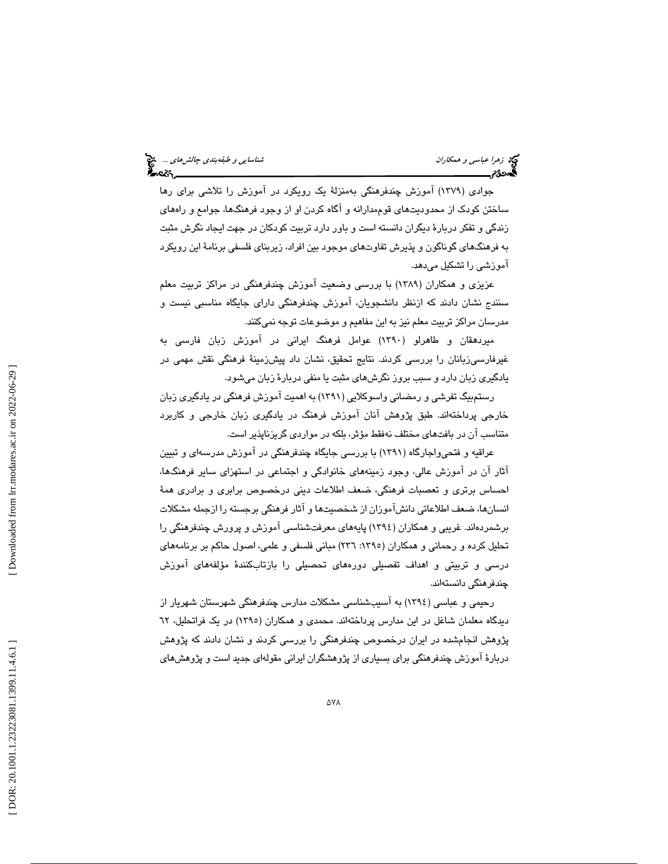جوادي (1379) آموزش چندفرهنگي بهمنزلة يك رويكرد در آموزش را تلاشي براي رها ساختن كودك از محدوديتهاي قوممدارانه و آگاه كردن او از وجود فرهنگها، جوامع و راههاي زندگي و تفكر دربارة ديگران دانسته است و باور دارد تربيت كودكان در جهت ايجاد نگرش مثبت به فرهنگهاي گوناگون و پذيرش تفاوتهاي موجود بين افراد، زيربناي فلسفي برنامة اين رويكرد آموزشي را تشكيل ميدهد.

عزيزي و همكاران (١٣٨٩) با بررسي وضعيت آموزش چندفرهنگي در مراكز تربيت معلم سنندج نشان دادند كه ازنظر دانشجويان، آموزش چندفرهنگي داراي جايگاه مناسبي نيست و مدرسان مراكز تربيت معلم نيز به اين مفاهيم و موضوعات توجه نميكنند.

ميردهقان و طاهرلو (1390) عوامل فرهنگ ايراني در آموزش زبان فارسي به غيرفارسيزبانان را بررسي كردند. نتايج تحقيق، نشان داد پيشزمينهٔ فرهنگي نقش مهمي در يادگيري زبان دارد و سبب بروز نگرشهاي مثبت يا منفي دربار ة زبان ميشود.

رستمبيگ تفرشي و رمضاني واسوكلايي (1391) به اهميت آموزش فرهنگي در يادگيري زبان خارجي پرداختهاند. طبق پژوهش آنان آموزش فرهنگ در يادگيري زبان خارجي و كاربرد متناسب آن در بافتهاي مختلف نهفقط مؤثر، بلكه در مواردي گريزناپذير است .

عراقيه و فتحيواجارگاه (1391) با بررسي جايگاه چندفرهنگي در آموزش مدرسهاي و تبيين آثار آن در آموزش عالي، وجود زمينههاي خانوادگي و اجتماعي در استهزاي ساير فرهن گها، احساس برتري و تعصبات فرهنگي، ضعف اطلاعات ديني درخصوص برابري و برادري همة انسانها، ضعف اطلاعاتي دانشآموزان از شخصيتها و آثار فرهنگي برجسته را ازجمله مشكلات برشمردهاند. غريبي و همكاران ( 1394) پايههاي معرفتشناسي آموزش و پرورش چندفرهنگي را تحليل كرده و رحماني و همكاران (١٣٩٥: ٢٣٦) مباني فلسفي و علمي، اصول حاكم بر برنامههاي درسي و تربيتي و اهداف تفصيلي دورههاي تحصيلي را بازتابكنندة مؤلفههاي آموزش چندفرهنگي دانستهاند.

رحيمي و عباسي (1394) به آسيبشناسي مشكلات مدارس چندفرهنگي شهرستان شهريار از دیدگاه معلمان شاغل در این مدارس پرداختهاند. محمدی و همکاران (۱۳۹۰) در یک فراتحلیل، ٦٢ پژوهش انجامشده در ايران درخصوص چندفرهنگي را بررسي كردند و نشان دادند كه پژوهش دربار ة آموزش چندفرهنگي براي بسياري از پژوهشگران ايراني مقولهاي جديد است و پژوهشهاي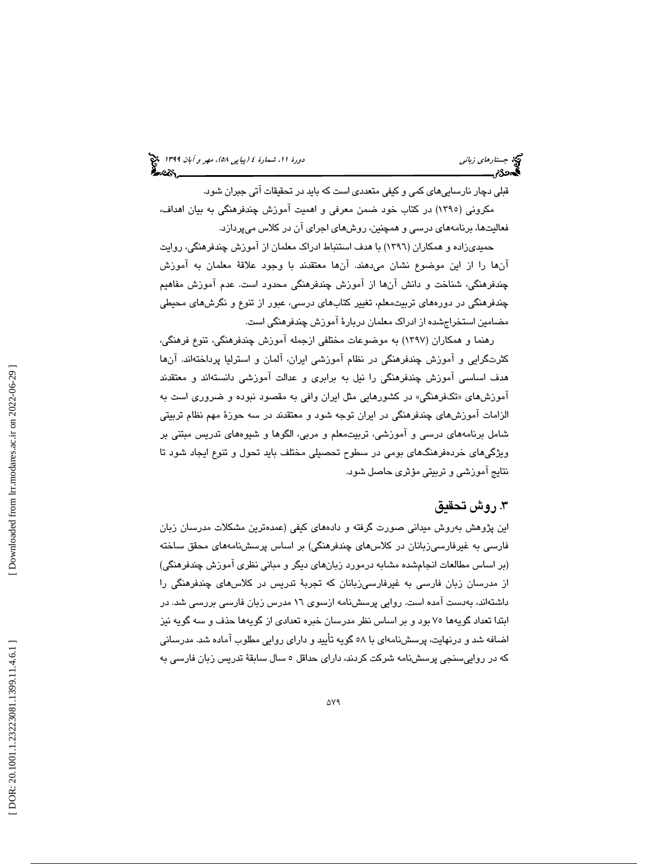(پياپي 58)، مهر و آبان 1399 جستارهاي زباني دورة ،11 شمارة 4

قبلي دچار نارساييهاي كمي و كيفي متعددي است كه بايد در تحقيقات آتي جبران شود. مكروني (1395) در كتاب خود ضمن معرفي و اهميت آموزش چندفرهنگي به بيان اهداف، فعاليتها، برنامههاي درسي و همچنين ، روشهاي اجراي آن در كلاس ميپردازد.

حميديزاده و همكاران (1396) با هدف استنباط ادراك معلمان از آموزش چندفرهنگي، روايت آنها را از اين موضوع نشان ميدهند. آنها معتقدند با وجود علاقة معلمان به آموزش چندفرهنگي، شناخت و دانش آنها از آموزش چندفرهنگي محدود است. عدم آموزش مفاهيم چندفرهنگي در دورههاي تربيتمعلم، تغيير كتابهاي درسي، عبور از تنوع و نگرشهاي محيطي مضامين استخراجشده از ادراك معلمان دربارة آموزش چندفرهنگي است.

رهنما و همكاران (1397) به موضوعات مختلفي ازجمله آموزش چندفرهنگي، تنوع فرهنگي، كثرتگرايي و آموزش چندفرهنگي در نظام آموزشي ايران، آلمان و استرليا پرداختهاند. آنها هدف اساسي آموزش چندفرهنگي را نيل به برابري و عدالت آموزشي دانستهاند و معتقدند اموزشهای «تکفرهنگی» در کشورهایی مثل ایران وافی به مقصود نبوده و ضروری است به الزامات آموزشهاي چندفرهنگي در ايران توجه شود و معتقدند در سه حوزة مهم نظام تربيتي شامل برنامههاي درسي و آموزشي، تربيتمعلم و مربي، الگوها و شيوههاي تدريس مبتني بر ويژگيهاي خردهفرهنگهاي بومي در سطوح تحصيلي مختلف بايد تحول و تنوع ايجاد شود تا نتايج آموزشي و تربيتي مؤثري حاصل شود.

### . 3 روش تحقيق

اين پژوهش بهروش ميداني صورت گرفته و دادههاي كيفي (عمدهترين مشكلات مدرسان زبان فارسی به غیرفارسی¿بانان در كلاس های چندفرهنگی) بر اساس پرسشنامههای محقق ساخته (بر اساس مطالعات انجامشده مشابه درمورد زبانهای دیگر و مبانی نظری آموزش چندفرهنگی) از مدرسان زبان فارسی به غیرفارسی;زبانان كه تجربهٔ تدریس در كلاسهای چندفرهنگی را داشتهاند، بهدست آمده است. روايي پرسشنامه ازسوي 16 مدرس زبان فارسي بررسي شد. در ابتدا تعداد گويهها 75 بود و بر اساس نظر مدرسان خبره تعدادي از گويهها حذف و سه گويه نيز اضافه شد و درنهايت، پرسشنامهاي با 58 گويه تأييد و داراي روايي مطلوب آماده شد. مدرساني كه در رواييسنجي پرسشنامه شركت كردند، داراي حداقل 5 سال سابقة تدريس زبان فارسي به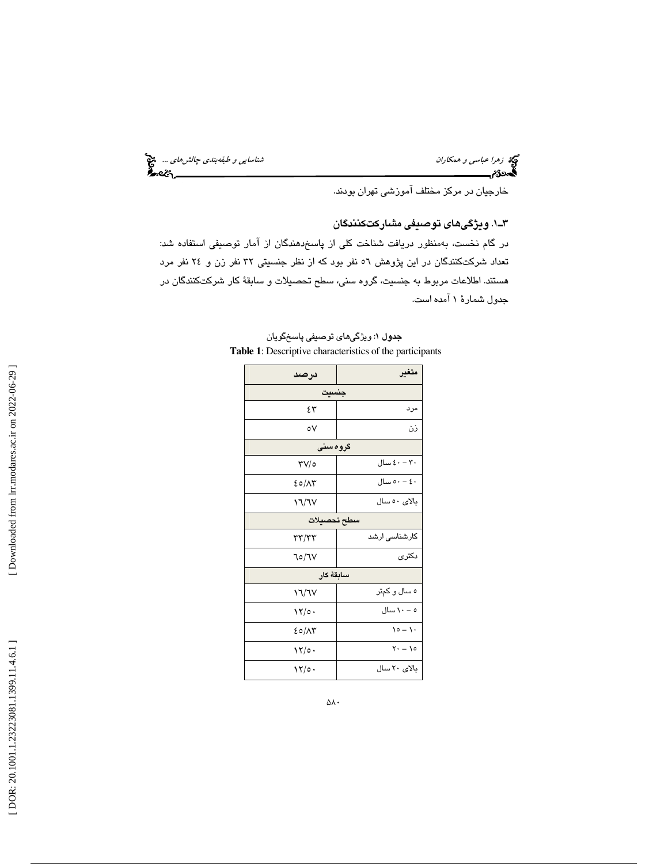تي: ز*هرا عباسي و همكاران* شناساي*ي و طبقهبندي چالشهاي ...*. چ<mark>خ</mark><br>المحمدی:<br>**المحمدی: شناسايي چالي پالان بالان به اين جالي پالان به اين جالي پالان به اين جالي پالان به اين جالي پالان به ا** 

خارجيان در مركز مختلف آموزشي تهران بودند.

. 1ـ3 ويژگيهاي توصيفي مشاركتكنندگان

در گام نخست، به منظور دريافت شناخت كلي از پاسخدهندگان از آمار توصيفي استفاده شد: تعداد شركتكنندگان در اين پژوهش 56 نفر بود كه از نظر جنسيتي 32 نفر زن و 24 نفر مرد هستند. اطلاعات مربوط به جنسيت، گروه سني، سطح تحصيلات و سابقة كار شركتكنندگان در جدول شمارة 1 آمده است.

| درصد            | متغير                        |  |  |  |  |  |  |
|-----------------|------------------------------|--|--|--|--|--|--|
| جنسيت           |                              |  |  |  |  |  |  |
| ٤٣              | مرد                          |  |  |  |  |  |  |
| ٥٧              | نن                           |  |  |  |  |  |  |
| گروه سنی        |                              |  |  |  |  |  |  |
| ۳۷/٥            | $\xi \cdot - \tau \cdot$ سال |  |  |  |  |  |  |
| ۶٥/٨٣           | ٤٠ – ٥٠ سال                  |  |  |  |  |  |  |
| <b>۱٦/٦٧</b>    | بالای ٥٠ سال                 |  |  |  |  |  |  |
| سطح تحصيلات     |                              |  |  |  |  |  |  |
| ۳۳/۳۳           | کارشناسی ارشد                |  |  |  |  |  |  |
| ٦٥/٦٧           | دكترى                        |  |  |  |  |  |  |
| سابقة كار       |                              |  |  |  |  |  |  |
| <b>\`\</b> \`\V | ه سال و کمتر                 |  |  |  |  |  |  |
| ۱۲/٥۰           | ه – ۱۰ سال                   |  |  |  |  |  |  |
| ۶٥/۸۳           | $10 - 1$                     |  |  |  |  |  |  |
| ۱۲/٥۰           | $Y - 10$                     |  |  |  |  |  |  |
| ۱۲/٥۰           | بالای ۲۰ سال                 |  |  |  |  |  |  |

جدول 1: ويژگيهاي توصيفي پاسخگويان **Table 1**: Descriptive characteristics of the participants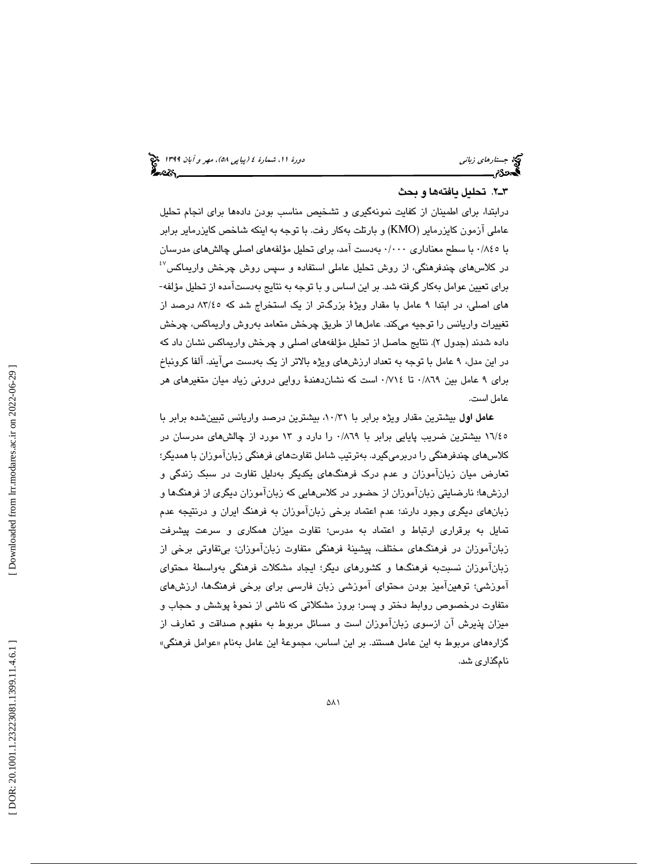#### 2ـ3 . تحليل يافتهها و بحث

ادر بتدا ، براي اطمينان از كفايت نمونهگيري و تشخيص مناسب بودن دادهها براي انجام تحليل عاملي آزمون كايزرماير (KMO) و بارتلت بهكار رفت. با توجه به اينكه شاخص كايزرماير برابر با ١٨٤٥ با سطح معناداري ٠/٠٠٠ بهدست آمد، براي تحليل مؤلفههاي اصلي چالشهاي مدرسان  $^{\{\prime\}}$ در كلاس $\mu$ اى چندفرهنگى، از روش تحليل عاملى استفاده و سپس روش چرخش واريماكس براي تعيين عوامل بهكار گرفته شد. بر اين اساس و با توجه به نتايج بهدستآمده از تحليل مؤلفه-هاي اصلي، در ابتد 9ا عامل با مقدار ويژ ة بزرگتر از يك استخراج شد كه 45/ 83 درصد از تغييرات واريانس را توجيه ميكند. عاملها از طريق چرخش متعامد بهروش واريماكس، چرخش داده شدند (جدول ۲). نتايج حاصل از تحليل مؤلفههای اصلی و چرخش واريماكس نشان داد كه در اين مدل، 9 عامل با تو به جه تعداد ارزشهاي ويژه بالاتر از يك بهدست ميآيند. آلفا كرونباخ براي 9 عامل بين 869 /0 تا 714 /0 است كه نشاندهند ة روايي دروني زياد ميان متغيرهاي هر عامل است .

عامل اول بيشترين مقدار ويژه برابر با 31/ ،10 بيشترين درصد واريانس تبيينشده برابر با 45/ 16 بيشترين ضريب پايايي برابر با 869 /0 را دارد و 13 مورد از چالشهاي مدرسان در كلاسهای چندفرهنگی را دربرمیگیرد. بهترتیب شامل تفاوتهای فرهنگی زبانآموزان با همدیگر؛ تعارض ميان زبانآموزان و عدم درك فرهنگهاي يكديگر بهدليل تفاوت در سبك زندگي و ارزشها؛ نارضايتي زبانآموزان از حضور در كلاسهايي كه زبانآموزان ديگري از فرهنگها و زبانهاي ديگري وجود دارند؛ عدم اعتماد برخي زبانآموزان به فرهنگ ايران و درنتيجه عدم تمايل به برقراري ارتباط و اعتماد ب ه مدرس ؛ تفاوت ميزان همكاري و سرعت پيشرفت زبانآموزان در فرهنگهاي مختلف، پيشينهٔ فرهنگي متفاوت زبانآموزان؛ بي $\;$ قاوتي برخي از زبانآموزان نسبت $به فرهنگها و كشورهاي ديگر؛ ايجاد مشكلات فرهنگي بهواسطهٔ محتواي$ آموزشي؛ توهينآميز بودن محتواي آموزشي زبان فارسي براي برخي فرهنگها، ارزشهاي متفاوت درخصوص روابط دختر و پسر؛ بروز مشكلاتي كه ناشي از نحوهٔ پوشش و حجاب و ميزان پذيرش آن ازسوي زبانآموزان است و مسائل مربوط به مفهوم صداقت و تعارف از گزارههای مربوط به این عامل هستند. بر این اساس، مجموعهٔ این عامل بهنام «عوامل فرهنگی» نامگذاري شد.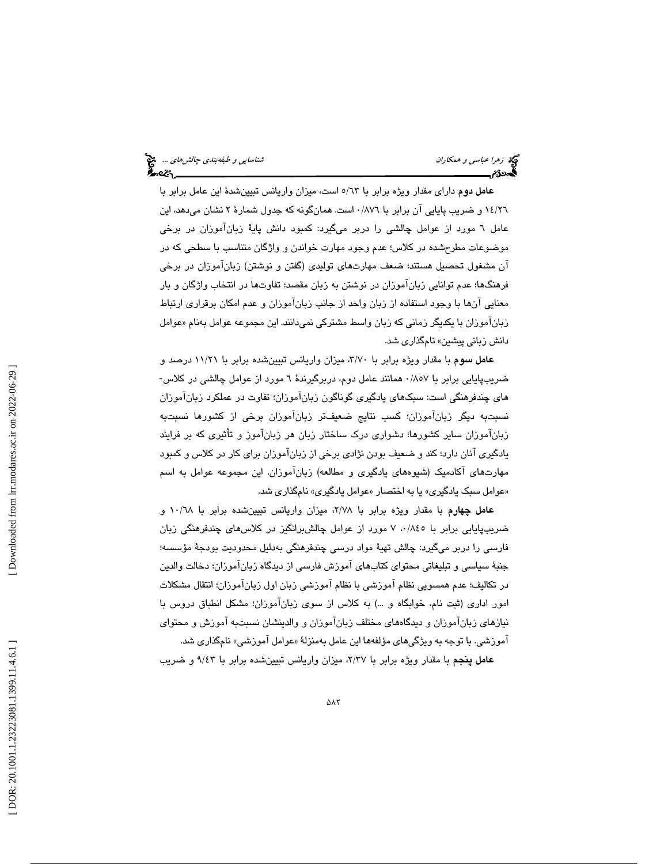عامل دوم داراي مقدار ويژه برابر با 63/5 است، ميزان واريانس تبيين ةشد اين عامل برابر با ١٤/٢٦ و ضريب پايايي آن برابر با ٨٧٦/٠ است. همانگونه كه جدول شمارهٔ ٢ نشان ميدهد، اين عامل ٦ مورد از عوامل چالشي را دربر ميگيرد: كمبود دانش پايهٔ زبانآموزان در برخي موضوعات مطرحشده در كلاس ؛ عدم وجود مهارت خواندن و واژگان متناسب با سطحي كه در آن مشغول تحصيل هستند ؛ ضعف مهارتهاي توليدي (گفتن و نوشتن) زبانآموزان در برخي فرهنگها؛ عدم توانايي زبانآموزان در نوشتن به زبان مقصد؛ تفاوتها در انتخاب واژگان و بار معنايي آنها با وجود استفاده از زبان واحد از جانب زبانآموزان و عدم امكان برقراري ارتباط زباناموزان با يكديگر زماني كه زبان واسط مشتركي نميدانند. اين مجموعه عوامل بهنام «عوامل دانش زباني پيشين» نامگذاري شد.

عامل سوم با مقدار ويژه برابر با 70/3 ، ميزان واريانس تبيينشده برابر با 21/ 11 درصد و ضريبپايايي برابر با ۸۵۷/۰ همانند عامل دوم، دربرگيرندهٔ ٦ مورد از عوامل چالشي در كلاس-هاي چندفرهنگي است: سبكهاي يادگيري گوناگون زبانآموزان؛ تفاوت در عملكرد زبانآموزان نسبتبه ديگر زبانآموزان ؛ كسب نتايج ضعيفتر زبانآموزان برخي از كشورها نسبتبه زبانآموزان ساير كشورها؛ دشواري درك ساختار زبان هر زبانآموز و تأثيري كه بر فرايند يادگيري آنان دارد ؛ كند و ضعيف بودن نژادي برخي از زبانآموزان براي كار در كلاس و كمبود مهارتهاي آكادميك (شيوههاي يادگيري و مطالعه) زبانآموزان. اين مجموعه عوامل به اسم «عوامل سبک يادگيري» يا به اختصار «عوامل يادگيري» نامگذاري شد.

عامل چهارم با مقدار ويژه برابر با 78/2 ، ميزان واريانس تبيينشده برابر با 68/ و 10 ضريبپايايي برابر با ۰/۸٤٥ ، ۷ مورد از عوامل چالشبرانگيز در كلاسهاي چندفرهنگي زبان فارسي را دربر ميگيرد: چالش تهيهٔ مواد درسي چندفرهنگي بهدليل محدوديت بودجهٔ مؤسسه؛ جنبهٔ سياسي و تبليغاتي محتواي كتابهاي آموزش فارسي از ديدگاه زبانآموزان؛ دخالت والدين در تكاليف ؛ عدم همسويي نظام آموزشي با نظام آموزشي زبان اول زبانآموزان ؛ انتقال مشكلات امور اداری (ثبت نام، خوابگاه و …) به كلاس از سوی زبان۱موزان؛ مشكل انطباق دروس با نيازهاي زبانآموزان و ديدگاههاي مختلف زبانآموزان و والدينشان نسبتبه آموزش و محتواي آموزشي. با توجه به ويژگيهاي مؤلفهها اين عامل بهمنزلة « عوامل آموزشي» نامگذاري شد.

عامل پنجم با مقدار ويژه برابر با 37/2 ، ميزان واريانس تبيينشده برابر با 43/9 و ضريب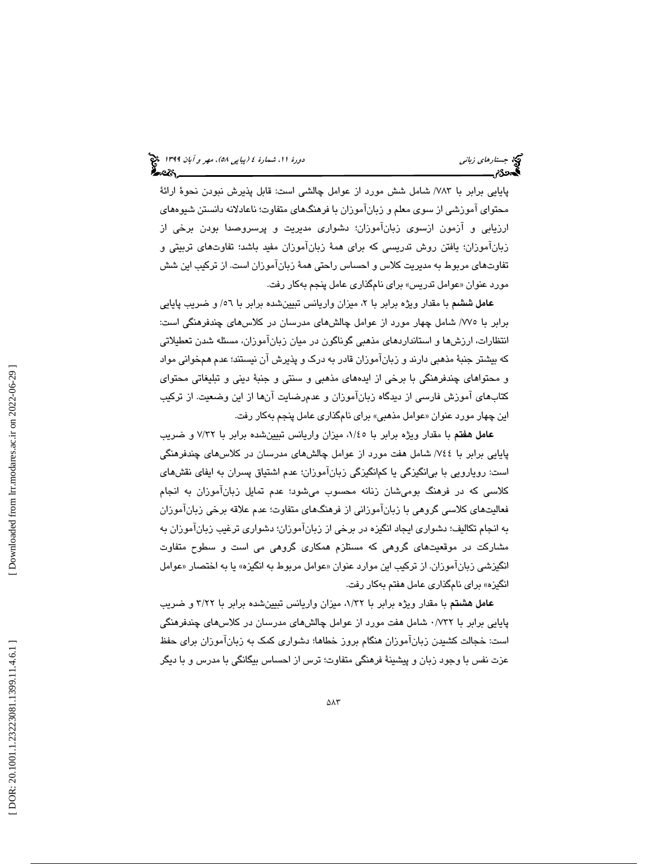پايايي برابر با ٧٨٣/ شامل شش مورد از عوامل چالشي است: قابل پذيرش نبودن نحوهٔ ارائهٔ محتواي آموزشي از سوي معلم و زبانآموزان با فرهنگهاي متفاوت ؛ ناعادلانه دانستن شيوههاي ارزيابي و آزمون ازسوي زبانآموزان؛ دشواري مديريت و پرسروصدا بودن برخي از زبانآموزان؛ يافتن روش تدريسي كه براي همهٔ زبانآموزان مفيد باشد؛ تفاوتهاي تربيتي و تفاوتهاي مربوط به مديريت كلاس و احساس راحتي همهٔ زبانآموزان است. از تركيب اين شش مورد عنوان «عوامل تدريس» براي نامگذاري عامل پنجم بهكار رفت.

عامل ششم با مقدار ويژه برابر با ۲، ميزان واريانس تبيينشده برابر با ٥٦/ و ضريب پايايي برابر با /775 شامل چهار مورد از عوامل چالشهاي مدرسان در كلاسهاي چندفرهنگي است: انتظارات، ارزشها و استانداردهاي مذهبي گوناگون در ميان زبانآموزان ، مسئله شدن تعطيلاتي كه بيشتر جنبهٔ مذهبي دارند و زبانآموزان قادر به درک و پذيرش آن نيستند؛ عدم همخواني مواد و محتواهاي چندفرهنگي با برخي از ايدههاي مذهبي و سنتي و جنبهٔ ديني و تبليغاتي محتواي كتابهاي آموزش فارسي از ديدگاه زبانآموزان و عدمرضايت آنها از اين وضعيت. از تركيب این چهار مورد عنوان «عوامل مذهبی» برای نامگذاری عامل پنجم بهکار رفت.

عامل هفتم با مقدار ويژه برابر با 45/1 ، ميزان واريانس تبيينشده برابر با 32/7 و ضريب پايايي برابر با 744 / شامل هفت مورد از عوامل چالشهاي مدرسان در كلاسهاي چندفرهنگي است: رويارويي با بي|نگيزگي يا كم|نگيزگي زبانآموزان؛ عدم اشتياق پسران به ايفاي نقشهاي كلاسي كه در فرهنگ بوميشان زنانه محسوب ميشود؛ عدم تمايل زبانآموزان به انجام فعاليتهاي كلاسي گروهي با زبانآموزاني از فرهنگهاي متفاوت؛ عدم علاقه برخي زبانآموزان به انجام تكاليف؛ دشواري ايجاد انگيزه در برخي از زبانآموزان؛ دشواري ترغيب زبانآموزان به مشاركت در موقعيتهاي گروهي كه مستلزم همكاري گروهي مي است و سطوح متفاوت انگيزشي زباناموزان. از تركيب اين موارد عنوان «عوامل مربوط به انگيزه» يا به اختصار «عوامل انگيزه» براي نامگذاري عامل هفتم به كار رفت.

عامل هشتم با مقدار ويژه برابر با 32/1 ، ميزان واريانس تبيينشده برابر با 22/3 و ضريب پايايي برابر با 732 /0 شامل هفت مورد از عوامل چالشهاي مدرسان در كلاسهاي چندفرهنگي است: خجالت كشيدن زبانآموزان هنگام بروز خطاها؛ دشواري كمک به زبانآموزان براي حفظ عزت نفس با وجود زبان و پيشينهٔ فرهنگي متفاوت؛ ترس از احساس بيگانگي با مدرس و با ديگر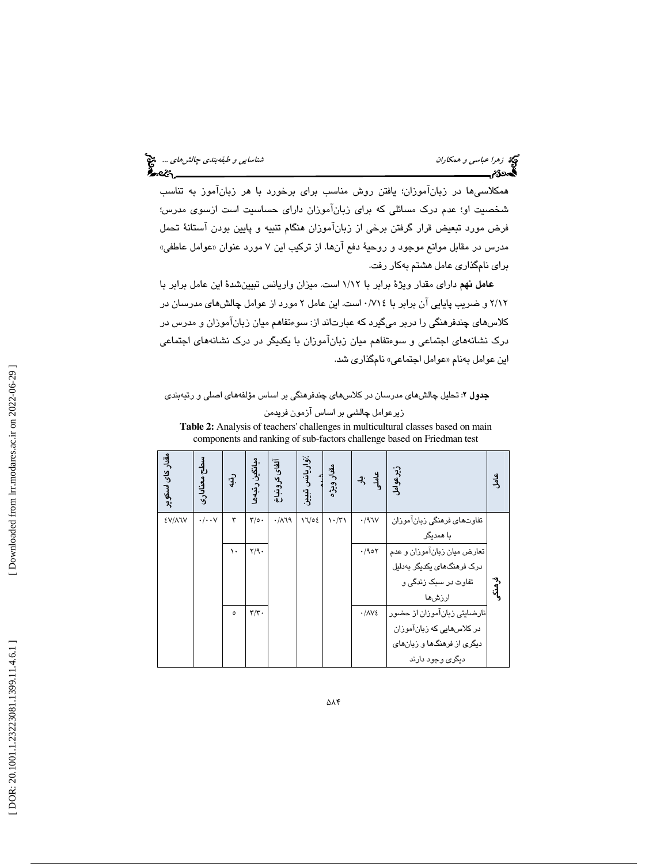همكلاسيها در زبانآموزان؛ يافتن روش مناسب براي برخورد با هر زبانآموز به تناسب شخصيت او؛ عدم درك مسائلي كه براي زبانآموزان داراي حساسيت است ازسوي مدرس؛ فرض مورد تبعيض قرار گرفتن برخي از زبانآموزان هنگام تنبيه و پايين بودن آستانهٔ تحمل مدرس در مقابل موانع موجود و روحيهٔ دفع انها. از تركيب اين ۷ مورد عنوان «عوامل عاطفي» براي نامگذاري عامل هشتم به كار رفت.

عامل نهم داراي مقدار ويژهٔ برابر با ١/١٢ است. ميزان واريانس تبيينشدهٔ اين عامل برابر با 12/2 و ضريب پايايي آن برابر با 714 /0 است. اين عامل 2 مورد از عوامل چالشهاي مدرسان در كلاسهای چندفرهنگی را دربر میگیرد كه عبارتاند از: سوءتفاهم میان زباناموزان و مدرس در درك نشانههاي اجتماعي و سوءتفاهم ميان زبانآموزان با يكديگر در درك نشانههاي اجتماعي اين عوامل بەنام «عوامل اجتماعي» نامگذارى شد.

### <mark>جدول ۲</mark>: تحلیل چالش،*ه*ای مدرسان در کلاس،*ه*ای چندفرهنگی بر اساس مؤلفههای اصلی و رتبهبندی

زيرعوامل چالشي بر اساس آزمون فريدمن

|                                    |                           |                   |                           |               |       |                                     |              | <b>Table 2:</b> Analysis of teachers' challenges in multicultural classes based on main<br>components and ranking of sub-factors challenge based on Friedman test |            |
|------------------------------------|---------------------------|-------------------|---------------------------|---------------|-------|-------------------------------------|--------------|-------------------------------------------------------------------------------------------------------------------------------------------------------------------|------------|
| مق <i>دا</i> ر کا <i>ی اس</i> کویر | طح معنادارى               | $\cdot \hat{J}$ . | میانگین رتبهها            | آلفای کرونباخ |       | /واريانس تبيين<br>شده<br>مقدار ويژه | 7; 4         | زير عوامل<br>ا                                                                                                                                                    | ی<br>گ     |
| <b>EV/AIV</b>                      | $\cdot/\cdot\cdot$ $\vee$ | ٣                 | $\mathbf{r}/\mathbf{0}$ . | .719          | 17/02 | $\mathcal{N} \cdot \mathcal{N}$     | $\cdot$ /۹٦۷ | تفاوتهای فرهنگی زبان!موزان                                                                                                                                        |            |
|                                    |                           |                   |                           |               |       |                                     |              | ىا ھمدىگر                                                                                                                                                         |            |
|                                    |                           | ١.                | Y/9.                      |               |       |                                     | $\cdot$ /90۲ | تعارض ميان زبانآموزان و عدم ا                                                                                                                                     |            |
|                                    |                           |                   |                           |               |       |                                     |              | درک فرهنگهای یکدیگر بهدلیل                                                                                                                                        |            |
|                                    |                           |                   |                           |               |       |                                     |              | تفاوت در سبک زندگی و                                                                                                                                              | ۇ<br>مەنگى |
|                                    |                           |                   |                           |               |       |                                     |              | ارزشءا                                                                                                                                                            |            |
|                                    |                           | $\circ$           | $\mathbf{r}/\mathbf{r}$ . |               |       |                                     | $\cdot$ /۸۷٤ | نارضایتی زبانآموزان از حضور                                                                                                                                       |            |
|                                    |                           |                   |                           |               |       |                                     |              | در کلاس هایی که زبانآموزان                                                                                                                                        |            |
|                                    |                           |                   |                           |               |       |                                     |              | دیگری از فرهنگها و زبانهای                                                                                                                                        |            |
|                                    |                           |                   |                           |               |       |                                     |              | دیگری وجود دارند                                                                                                                                                  |            |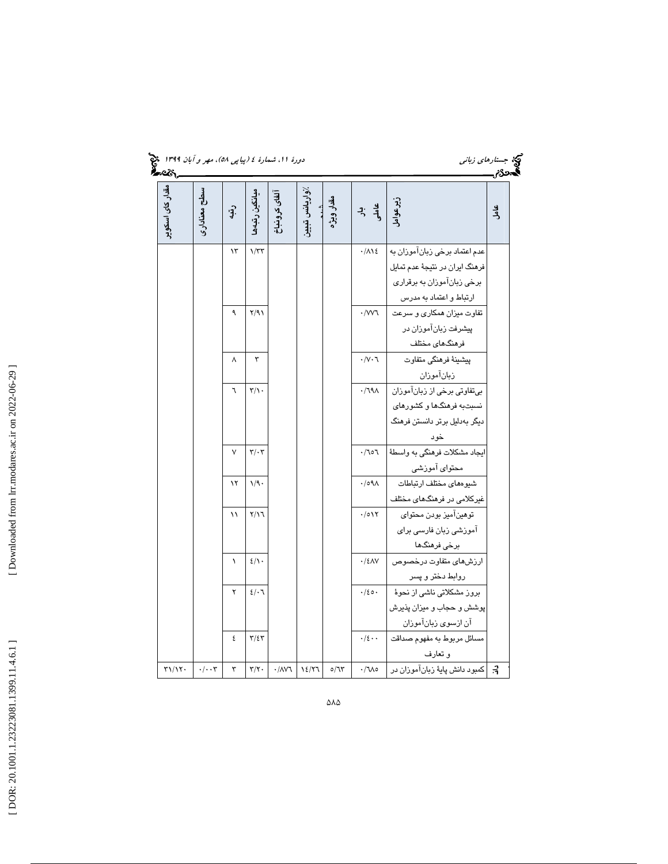| دورهٔ ۱۱، شمارهٔ ٤ (پیاپ <sub>ی</sub> ۵۸)، <i>مهر و آبان ۱۳۹۹</i> قبیچ<br>۱۳ <b>۵۰ میل</b> یمی |
|------------------------------------------------------------------------------------------------|
|------------------------------------------------------------------------------------------------|

| دورهٔ ۱۱، شمارهٔ ٤ (پیاپی ٥٨)، مهر و آبان ۱۳۹۹ هج<br><u>.</u><br>અવ્હેર્ |                      |           |                              |                       |                |                    |                               | کنهٔ جست <i>ارهای زبانی</i><br><b>کمیهودهم</b>            |                  |
|--------------------------------------------------------------------------|----------------------|-----------|------------------------------|-----------------------|----------------|--------------------|-------------------------------|-----------------------------------------------------------|------------------|
| مقدار کای اسکو پر                                                        | سطح معنادارى         | $\hat{J}$ | ميانگين رتبەھ                | آلفاى كرونباخ         | ⁄واریانس تبییز | شىدى<br>مقدار ويژه | له په<br>په                   | زيرعوامل                                                  | <u>ی</u><br>جامل |
|                                                                          |                      | ۱۳        | 1/TT                         |                       |                |                    | $\cdot/\Lambda$ \ {           | عدم اعتماد برخی زبان آموزان به                            |                  |
|                                                                          |                      |           |                              |                       |                |                    |                               | فرهنگ ایران در نتیجهٔ عدم تمایل                           |                  |
|                                                                          |                      |           |                              |                       |                |                    |                               | برخي زبان آموزان به برقراري                               |                  |
|                                                                          |                      |           |                              |                       |                |                    |                               | ارتباط و اعتماد به مدرس                                   |                  |
|                                                                          |                      | ٩         | Y/91                         |                       |                |                    | $\cdot$ /W                    | تفاوت میزان همکاری و سرعت                                 |                  |
|                                                                          |                      |           |                              |                       |                |                    |                               | پیشرفت زبانآموزان در                                      |                  |
|                                                                          |                      |           |                              |                       |                |                    |                               | فرهنگهای مختلف                                            |                  |
|                                                                          |                      | ٨         | ٣                            |                       |                |                    | $\cdot/\vee\cdot\curlyvee$    | پیشینهٔ فرهنگی متفاوت                                     |                  |
|                                                                          |                      |           |                              |                       |                |                    |                               | زبانآموزان                                                |                  |
|                                                                          |                      | ٦         | $\mathbf{r}/\mathbf{v}$ .    |                       |                |                    | $\cdot$ /79 $\wedge$          | بي تفاوتي برخي از زبانآموزان                              |                  |
|                                                                          |                      |           |                              |                       |                |                    |                               | نسبتبه فرهنگها و کشورهای<br>دیگر بەدلیل برتر دانستن فرهنگ |                  |
|                                                                          |                      |           |                              |                       |                |                    |                               |                                                           |                  |
|                                                                          |                      | ٧         | $\mathbf{r}/\cdot\mathbf{r}$ |                       |                |                    | .701                          | خود<br>ايجاد مشكلات فرهنگي به واسطهٔ                      |                  |
|                                                                          |                      |           |                              |                       |                |                    |                               | محتواي آموزشي                                             |                  |
|                                                                          |                      | ۱۲        | 1/9.                         |                       |                |                    | $.109\Lambda$                 | شيوههاى مختلف ارتباطات                                    |                  |
|                                                                          |                      |           |                              |                       |                |                    |                               | غیرکلامی در فرهنگهای مختلف                                |                  |
|                                                                          |                      | ۱۱        | $Y/\Upsilon$                 |                       |                |                    | $\cdot/\circ \setminus \cdot$ | توهينآميز بودن محتواي                                     |                  |
|                                                                          |                      |           |                              |                       |                |                    |                               | آموزشی زبان فارسی برای                                    |                  |
|                                                                          |                      |           |                              |                       |                |                    |                               | برخی فرهنگها                                              |                  |
|                                                                          |                      | $\lambda$ | $2/\iota$ .                  |                       |                |                    | $\cdot$ /٤٨٧                  | ارزشهاى متفاوت درخصوص                                     |                  |
|                                                                          |                      |           |                              |                       |                |                    |                               | روابط دختر و پسر                                          |                  |
|                                                                          |                      | ۲         | 2/7                          |                       |                |                    | $\cdot/20$ .                  | بروز مشکلاتی ناشی از نحوهٔ                                |                  |
|                                                                          |                      |           |                              |                       |                |                    |                               | پوشش و حجاب و ميزان پذيرش                                 |                  |
|                                                                          |                      |           |                              |                       |                |                    |                               | آن ازسوى زبانآموزان                                       |                  |
|                                                                          |                      | ٤         | $\Upsilon/\xi\Upsilon$       |                       |                |                    | $\cdot/\epsilon \cdot \cdot$  | مسائل مربوط به مفهوم صداقت                                |                  |
|                                                                          |                      |           |                              |                       |                |                    |                               | و تعارف                                                   |                  |
| $\Upsilon \setminus \Upsilon$                                            | $\cdot/\cdot\cdot$ ۳ | ٣         | $\mathbf{r}/\mathbf{r}$ .    | $\cdot / \Lambda V$ ٦ | 12/31          | 0/7                | $\cdot/\text{Me}$             | 3.   كمبود دانش پايهٔ زبانآموزان در                       |                  |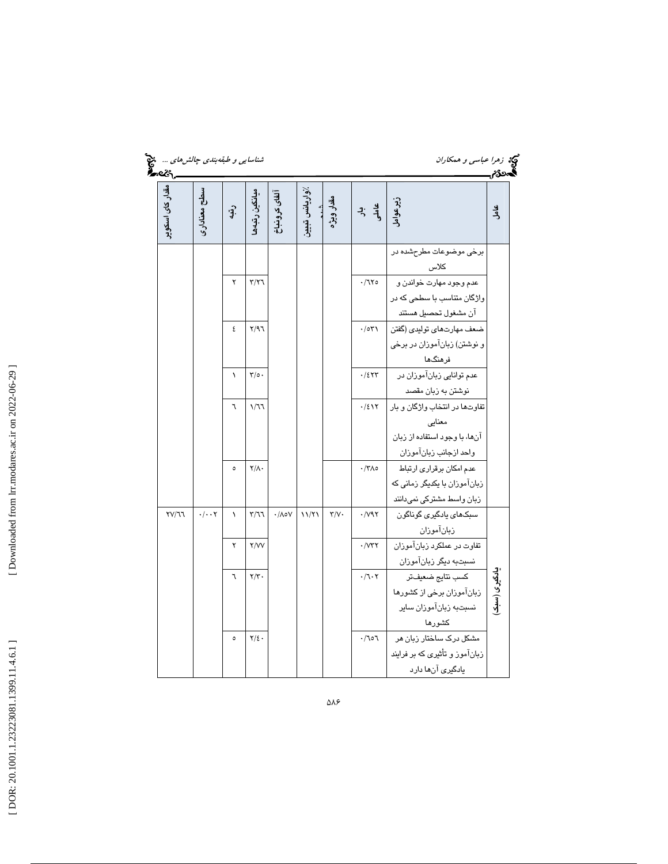| شناسای <i>ی و طبقهبندی چالش های </i> چنی<br><b>گیمترنگ</b> ر<br><b>گیمترنگ</b> ر |                              |                 |                             |                         |                |                         |                                     | کی   زهرا عباسی و همکاران                                  | گەدى <i>م</i> |
|----------------------------------------------------------------------------------|------------------------------|-----------------|-----------------------------|-------------------------|----------------|-------------------------|-------------------------------------|------------------------------------------------------------|---------------|
| مقدار کای اسکو پر                                                                | سطح معنادارى                 | $\cdot \hat{J}$ | ميانگين رتبەھ               | آلفاى كرونباخ           | ⁄واريانس تبيين | شند.<br>مقدار ویژه      | ی به<br>و <del>ل</del> به           | زيرعوامل                                                   | عامل          |
|                                                                                  |                              |                 |                             |                         |                |                         |                                     | برخي موضوعات مطرحشده در                                    |               |
|                                                                                  |                              | ۲               | $\tau/\tau$                 |                         |                |                         | $\cdot/770$                         | كلاس<br>عدم وجود مهارت خواندن و                            |               |
|                                                                                  |                              |                 |                             |                         |                |                         |                                     | واژگان متناسب با سطحی که در                                |               |
|                                                                                  |                              |                 |                             |                         |                |                         |                                     | آن مشغول تحصيل هستند                                       |               |
|                                                                                  |                              | ٤               | Y/97                        |                         |                |                         | $\cdot$ /0۳۱                        | ضعف مهارتهاي توليدي (گفتن                                  |               |
|                                                                                  |                              |                 |                             |                         |                |                         |                                     | و نوشتن) زبانآموزان در برخی                                |               |
|                                                                                  |                              |                 |                             |                         |                |                         |                                     | فرهنگها                                                    |               |
|                                                                                  |                              | $\lambda$       | $\mathbf{y}_0$ .            |                         |                |                         | $\cdot$ /٤٢٣                        | عدم توانایی زبانآموزان در                                  |               |
|                                                                                  |                              |                 |                             |                         |                |                         |                                     | نوشتن به زبان مقصد                                         |               |
|                                                                                  |                              | ٦               | 1/77                        |                         |                |                         | .721                                | تفاوتها در انتخاب واژگان و بار                             |               |
|                                                                                  |                              |                 |                             |                         |                |                         |                                     | معنایے                                                     |               |
|                                                                                  |                              |                 |                             |                         |                |                         |                                     | آنها، با وجود استفاده از زبان                              |               |
|                                                                                  |                              |                 |                             |                         |                |                         |                                     | واحد ازجانب زبانآموزان                                     |               |
|                                                                                  |                              | $\circ$         | $\mathsf{Y}/\mathsf{A}$ .   |                         |                |                         | $\cdot$ /٣٨٥                        | عدم امكان برقرارى ارتباط                                   |               |
|                                                                                  |                              |                 |                             |                         |                |                         |                                     | زبانآموزان با یکدیگر زمانی که<br>زبان واسط مشتركي نمىدانند |               |
| TY/77                                                                            | $\cdot/\cdot\cdot\mathsf{Y}$ | $\lambda$       | $\mathbf{r}/\mathbf{r}$     | $\cdot/\wedge\circ\vee$ | 11/71          | $\mathbf{Y}/\mathbf{V}$ | $\cdot$ / $\vee$ ۹۲                 | سبکھای يادگيری گوناگون                                     |               |
|                                                                                  |                              |                 |                             |                         |                |                         |                                     | زبانآموزان                                                 |               |
|                                                                                  |                              | ۲               | Y/VV                        |                         |                |                         | $\cdot$ / $\forall$ ۲               | تفاوت در عملکرد زبانآموزان                                 |               |
|                                                                                  |                              |                 |                             |                         |                |                         |                                     | نسبتبه ديگر زبانآموزان                                     |               |
|                                                                                  |                              | ٦               | $\mathbf{Y}/\mathbf{Y}$ .   |                         |                |                         | $\cdot/\mathcal{L}\cdot\mathcal{L}$ | كسب نتايج ضعيفتر                                           |               |
|                                                                                  |                              |                 |                             |                         |                |                         |                                     | زبانآموزان برخي از كشورها                                  | یادگیری (سبک  |
|                                                                                  |                              |                 |                             |                         |                |                         |                                     | نسبتبه زبانآموزان ساير                                     |               |
|                                                                                  |                              |                 |                             |                         |                |                         |                                     | كشورها                                                     |               |
|                                                                                  |                              | ٥               | $\mathbf{Y}/\mathbf{\xi}$ . |                         |                |                         | .707                                | مشکل درک ساختار زبان هر                                    |               |
|                                                                                  |                              |                 |                             |                         |                |                         |                                     | زبانآموز و تأثیری که بر فرایند                             |               |
|                                                                                  |                              |                 |                             |                         |                |                         |                                     | یادگیری آنها دارد                                          |               |

[Downloaded from lrr.modares.ac.ir on 2022-06-29]  [\[ DOR: 20.1001.1.23223081.1399.11.4.6.1](https://dorl.net/dor/20.1001.1.23223081.1399.11.4.6.1) ] [\[ Downloaded from lrr.modares.ac.ir on 20](https://lrr.modares.ac.ir/article-14-23138-fa.html)22-06-29 ]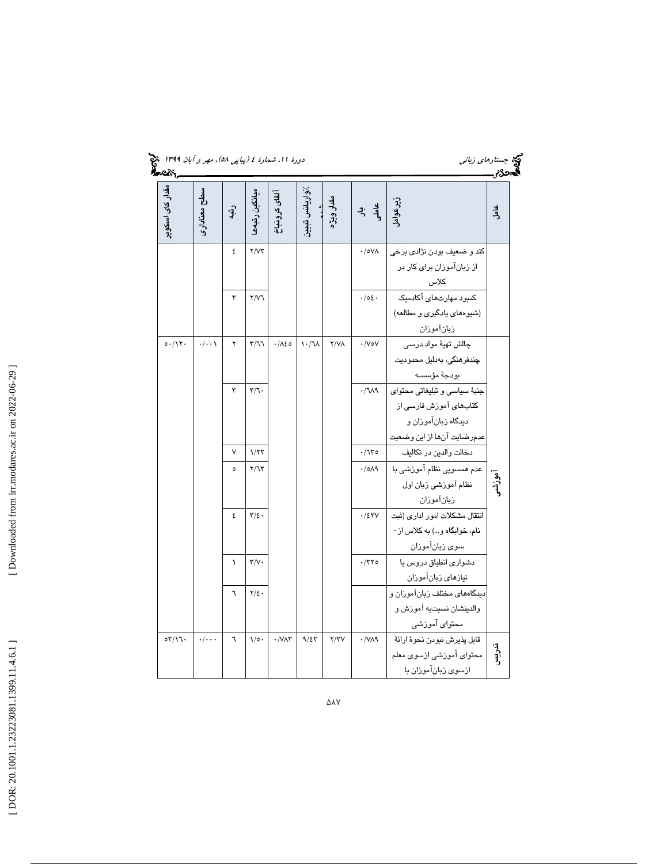|                               |                    |                 |                                |                                  |                                         |             |                     | کنهٔ جستار <i>های زبانی</i><br><b>کمیدنگریسیسیسی</b> |               |
|-------------------------------|--------------------|-----------------|--------------------------------|----------------------------------|-----------------------------------------|-------------|---------------------|------------------------------------------------------|---------------|
| مق <i>د</i> ار کای اسکو پر    | سطح معنادارى       | $\cdot \hat{J}$ | ميانگين رتبەھا                 | آلفاى كرونباخ                    | /واریانس تبیین<br>اهندویژه<br>هقار ویژه |             | لې به<br>په ز       | زیرعوامل<br>ا                                        | <u>ی</u><br>گ |
|                               |                    | ٤               | Y/YY                           |                                  |                                         |             | $\cdot$ /0VA        | كند و ضعيف بودن نژادي برخي                           |               |
|                               |                    |                 |                                |                                  |                                         |             |                     | از زبانآموزان برای کار در                            |               |
|                               |                    |                 |                                |                                  |                                         |             |                     | كلاس                                                 |               |
|                               |                    | ٣               | Y/Y                            |                                  |                                         |             | .102.               | کمبود مهارتهای آکادمیک                               |               |
|                               |                    |                 |                                |                                  |                                         |             |                     | (شیوههای یادگیری و مطالعه)                           |               |
|                               |                    |                 |                                |                                  |                                         |             |                     | زبانآموزان                                           |               |
| 0.117.                        | $\cdot/\cdot\cdot$ | ۲               | T/T                            | $\cdot/\lambda\epsilon$ 0        | $\lambda \cdot / \lambda$               | $Y/Y\wedge$ | $\cdot$ /VoV        | چالش تھيۀ مواد درسى                                  |               |
|                               |                    |                 |                                |                                  |                                         |             |                     | چندفرهنگی، بەدلیل محدودیت                            |               |
|                               |                    |                 |                                |                                  |                                         |             |                     | بودجة مؤسسه                                          |               |
|                               |                    | ٣               | $\mathbf{r}/\mathbf{r}$ .      |                                  |                                         |             | $-M^{\prime}$       | جنبهٔ سیاسی و تبلیغاتی محتوای                        |               |
|                               |                    |                 |                                |                                  |                                         |             |                     | کتابهای آموزش فارسی از                               |               |
|                               |                    |                 |                                |                                  |                                         |             |                     | دیدگاه زبانآموزان و                                  |               |
|                               |                    |                 |                                |                                  |                                         |             |                     | عدمرضايت آنها از اين وضعيت                           |               |
|                               |                    | ٧               | $1/\tau\tau$                   |                                  |                                         |             | $\cdot/\mathcal{U}$ | دخالت والدين در تكاليف                               |               |
|                               |                    | $\circ$         | Y/T                            |                                  |                                         |             | .1019               | عدم همسویی نظام آموزشی با                            |               |
|                               |                    |                 |                                |                                  |                                         |             |                     | نظام آموزشي زبان اول                                 | آموزشع        |
|                               |                    |                 |                                |                                  |                                         |             |                     | زبانآموزان                                           |               |
|                               |                    | ٤               | $\mathbf{r}/\mathbf{r}$ .      |                                  |                                         |             | .75Y                | انتقال مشكلات امور ادارى (ثبت                        |               |
|                               |                    |                 |                                |                                  |                                         |             |                     | نام، خوابگاه و) به كلاس از -                         |               |
|                               |                    |                 |                                |                                  |                                         |             |                     | سوى زبانآموزان                                       |               |
|                               |                    | $\lambda$       | $\mathbf{r}/\mathbf{v}$ .      |                                  |                                         |             | $\cdot$ /٣٢٥        | دشواری انطباق دروس با                                |               |
|                               |                    |                 |                                |                                  |                                         |             |                     | نيازهاى زبانآموزان                                   |               |
|                               |                    | ٦               | $\mathbf{Y}/\mathbf{\Sigma}$ . |                                  |                                         |             |                     | دیدگاههای مختلف زبانآموزان و                         |               |
|                               |                    |                 |                                |                                  |                                         |             |                     | والدينشان نسبتبه آموزش و                             |               |
|                               |                    |                 |                                |                                  |                                         |             |                     | محتواي آموزشي                                        |               |
| $\circ \tau / \setminus \tau$ | $\cdot/\cdot\cdot$ | ٦               | $\sqrt{\circ}$ .               | $\cdot$ / $\vee$ $\wedge$ $\vee$ | 9/57                                    | Y/YV        | $\cdot$ /VA9        | قابل پذيرش نبودن نحوۂ ارائۀ                          | تدريس<br>آ    |
|                               |                    |                 |                                |                                  |                                         |             |                     | محتواي آموزشي ازسوي معلم                             |               |
|                               |                    |                 |                                |                                  |                                         |             |                     | ازسوى زبانآموزان با                                  |               |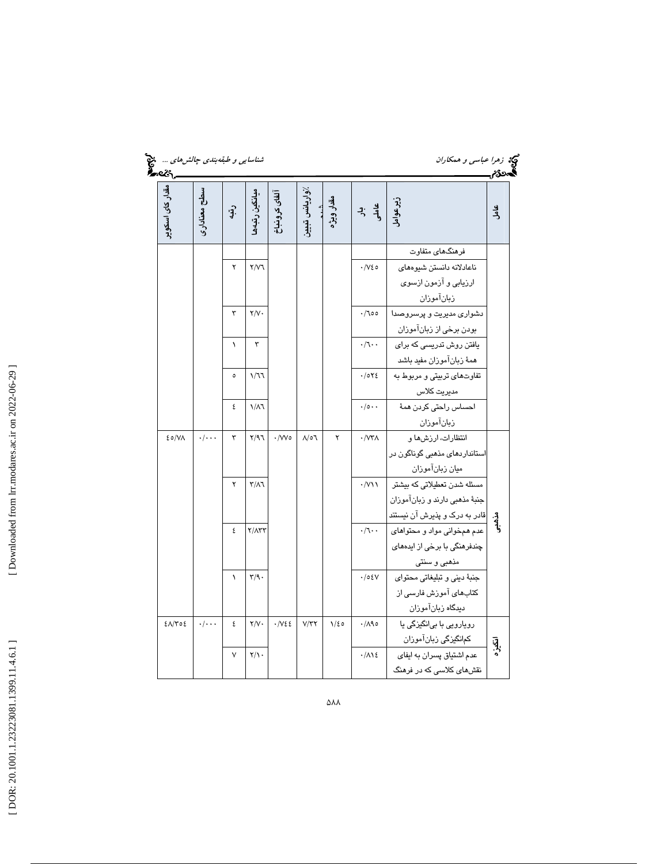| شناسای <i>ی و طبقهبندی چالش های …هی</i> خ<br><b>گیمتونگ</b> ر |                    |              |                           |                             |                        |                    |                          |                                                |            |
|---------------------------------------------------------------|--------------------|--------------|---------------------------|-----------------------------|------------------------|--------------------|--------------------------|------------------------------------------------|------------|
| مق <i>د</i> ار کا <i>ی اس</i> کو پر                           | سطح معنادارى       | $\mathbf{P}$ | ميانگين رتبەھ             | ألفاى كرونباخ               | ⁄واریانس تبییز         | شند.<br>مقدار ویژه | عاملہ<br>جام             | زير عوامل                                      | عامل       |
|                                                               |                    |              |                           |                             |                        |                    |                          | فرهنگهای متفاوت                                |            |
|                                                               |                    | ۲            | Y/Y                       |                             |                        |                    | $\cdot/\sqrt{20}$        | ناعادلانه دانستن شيوههاى                       |            |
|                                                               |                    |              |                           |                             |                        |                    |                          | ارزيابي و آزمون ازسوي                          |            |
|                                                               |                    |              |                           |                             |                        |                    |                          | زبانآموزان                                     |            |
|                                                               |                    | ٣            | $\mathsf{Y}/\mathsf{V}$   |                             |                        |                    | .700                     | دشواری مدیریت و پرسروصدا                       |            |
|                                                               |                    |              |                           |                             |                        |                    |                          | بودن برخي از زبانآموزان                        |            |
|                                                               |                    | $\lambda$    | ٣                         |                             |                        |                    | $\cdot/1$ .              | یافتن روش تدریسی که برای                       |            |
|                                                               |                    |              |                           |                             |                        |                    |                          | همهٔ زبانآموزان مفید باشد                      |            |
|                                                               |                    | $\circ$      | 1/77                      |                             |                        |                    | .1072                    | تفاوتهای تربیتی و مربوط به                     |            |
|                                                               |                    |              |                           |                             |                        |                    |                          | مديريت كلاس                                    |            |
|                                                               |                    | ٤            | $1/\lambda$               |                             |                        |                    | $\cdot/\circ\cdot\cdot$  | احساس راحتى كردن همة                           |            |
|                                                               |                    |              |                           |                             |                        |                    |                          | زبانآموزان                                     |            |
| 20/N                                                          | $\cdot/\cdot\cdot$ | ٣            | Y/97                      | $\cdot$ /Wo                 | $\Lambda/\circ\Lambda$ | ۲                  | $\cdot/\mathsf{W}\wedge$ | انتظارات، ارزشها و                             |            |
|                                                               |                    |              |                           |                             |                        |                    |                          | استان <i>دار</i> دها <i>ی</i> مذهبی گوناگون در |            |
|                                                               |                    |              |                           |                             |                        |                    |                          | ميان زبانآموزان                                |            |
|                                                               |                    | ۲            | $\mathsf{r}/\mathsf{A}$   |                             |                        |                    | $\cdot$ /V\\             | مسئله شدن تعطیلاتی که بیشتر                    |            |
|                                                               |                    |              |                           |                             |                        |                    |                          | جنبهٔ مذهبی دارند و زبانآموزان                 |            |
|                                                               |                    |              |                           |                             |                        |                    |                          | قادر به درک و پذیرش آن نیستند                  | مۇسى<br>ئە |
|                                                               |                    | ٤            | $Y/\Lambda YY$            |                             |                        |                    | $\cdot/\tau \cdot$       | عدم همخوانی مواد و محتواهای                    |            |
|                                                               |                    |              |                           |                             |                        |                    |                          | چندفرهنگی با برخی از ایدههای                   |            |
|                                                               |                    |              |                           |                             |                        |                    |                          | مذهبي و سنتي                                   |            |
|                                                               |                    | $\lambda$    | $\mathsf{r}/\mathsf{q}$ . |                             |                        |                    | $\cdot/\circ \epsilon V$ | جنبهٔ دینی و تبلیغاتی محتوای                   |            |
|                                                               |                    |              |                           |                             |                        |                    |                          | کتابهای آموزش فارسی از                         |            |
|                                                               |                    |              |                           |                             |                        |                    |                          | ديدگاه زبانآموزان                              |            |
| $E\Lambda/\Upsilon$ 02                                        | $\cdot/\cdot\cdot$ | ٤            | $Y/Y$ .                   | $\cdot$ / $\vee$ $\epsilon$ | $V/\Upsilon\Upsilon$   | $1/\epsilon$ 0     | $\cdot/\wedge\qquadcirc$ | روپارویی با بیانگیزگی یا                       |            |
|                                                               |                    |              |                           |                             |                        |                    |                          | کمانگیزگی زبانآموزان                           | انگيزه     |
|                                                               |                    | ٧            | $\mathsf{Y}/\mathsf{Y}$ . |                             |                        |                    | $\cdot/\Lambda$ ١٤       | عدم اشتياق پسران به ايفاى                      |            |
|                                                               |                    |              |                           |                             |                        |                    |                          | نقشهای کلاسی که در فرهنگ                       |            |

**688**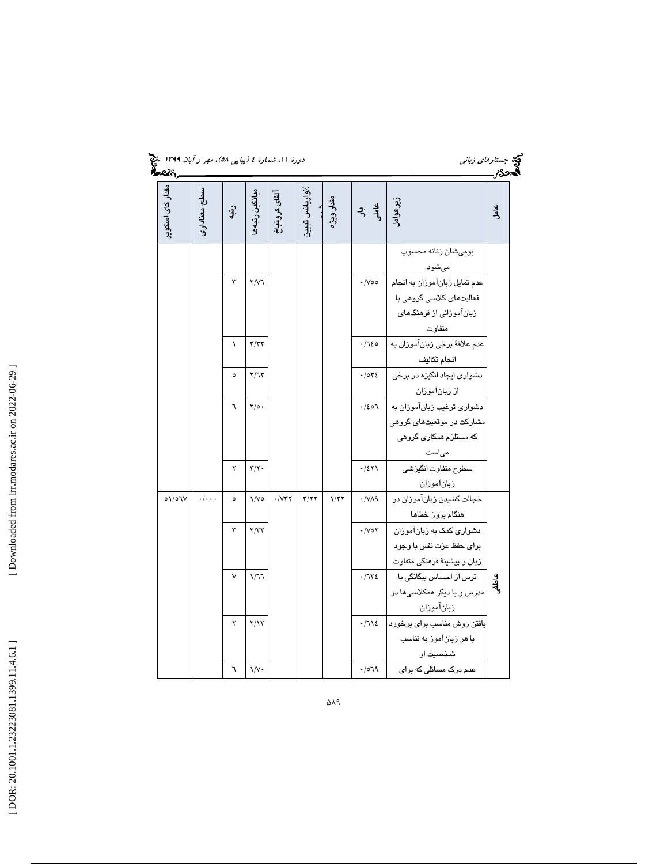| دورهٔ ۱۱. شمارهٔ ٤ (پیاپی ٥٨)، مهر و آبان ۱۳۹۹ هیچ<br><b>گفت:</b><br><b>گفت:</b> |                    |                          |                           |                                |                |                    |                                                                                          |                                                         |       |
|----------------------------------------------------------------------------------|--------------------|--------------------------|---------------------------|--------------------------------|----------------|--------------------|------------------------------------------------------------------------------------------|---------------------------------------------------------|-------|
| مق <i>دا</i> ر کا <i>ی اس</i> کو پر                                              | سطح معنادارى       | $\cdot \mathbf{\hat{F}}$ | ميانگين رتبهها            | آلفاى كرونباخ                  | /واريانس تبيين | شند.<br>مقدار ویژه | $\begin{array}{c} \n\frac{1}{2} & \frac{1}{2} \\ \frac{1}{2} & \frac{1}{2}\n\end{array}$ | زیرعوامل<br>ا                                           | عامل  |
|                                                                                  |                    |                          |                           |                                |                |                    |                                                                                          | بومىشان زنانه محسوب<br>مىشود.                           |       |
|                                                                                  |                    | ٣                        | Y/Y                       |                                |                |                    | $\cdot$ /Voo                                                                             | عدم تمايل زبانآموزان به انجام                           |       |
|                                                                                  |                    |                          |                           |                                |                |                    |                                                                                          | فعالیتهای کلاسی گروهی با<br>زبانآموزانی از فرهنگهای     |       |
|                                                                                  |                    | $\lambda$                | $\tau/\tau\tau$           |                                |                |                    | $-720$                                                                                   | متفاوت<br>عدم علاقة برخي زبانآموزان به                  |       |
|                                                                                  |                    | $\circ$                  | Y/7Y                      |                                |                |                    | .7042                                                                                    | انجام تكاليف<br>دشواری ایجاد انگیزه در برخی             |       |
|                                                                                  |                    |                          |                           |                                |                |                    |                                                                                          | از زبانآموزان                                           |       |
|                                                                                  |                    | ٦                        | $\Upsilon/\circ \cdot$    |                                |                |                    | .120                                                                                     | دشواری ترغیب زبانآموزان به<br>مشارکت در موقعیتهای گروهی |       |
|                                                                                  |                    |                          |                           |                                |                |                    |                                                                                          | که مستلزم همکاری گروهی                                  |       |
|                                                                                  |                    | ۲                        | $\mathbf{Y}/\mathbf{Y}$ . |                                |                |                    | .751                                                                                     | می ست<br>سطوح متفاوت انگيزشي                            |       |
| 01/07V                                                                           | $\cdot/\cdot\cdot$ | $\circ$                  | $\sqrt{V}$                | $\cdot$ / $\vee$ $\vee$ $\vee$ | Y/YY           | 1/T                | $\cdot$ /VA۹                                                                             | زبانآموزان<br>خجالت کشیدن زبانآموزان در                 |       |
|                                                                                  |                    |                          |                           |                                |                |                    |                                                                                          | هنگام بروز خطاها                                        |       |
|                                                                                  |                    | ٣                        | Y/YY                      |                                |                |                    | $\cdot$ /Vo $\tau$                                                                       | دشواری کمک به زبانآموزان<br>برای حفظ عزت نفس با وجود    |       |
|                                                                                  |                    |                          |                           |                                |                |                    |                                                                                          | زبان و پیشینهٔ فرهنگی متفاوت                            |       |
|                                                                                  |                    | ٧                        | 1/77                      |                                |                |                    | $\cdot/75$                                                                               | ترس از احساس بیگانگی با<br>مدرس و با دیگر همکلاسیها در  | عاطفر |
|                                                                                  |                    |                          |                           |                                |                |                    |                                                                                          | زبانآموزان                                              |       |
|                                                                                  |                    | ۲                        | Y/Y                       |                                |                |                    | $\cdot/715$                                                                              | یافتن روش مناسب برای برخورد                             |       |
|                                                                                  |                    |                          |                           |                                |                |                    |                                                                                          | با هر زبانآموز به تناسب<br>شخصيت او                     |       |
|                                                                                  |                    | ٦                        | $\sqrt{v}$                |                                |                |                    | $\mathit{P}\mathit{\Gamma}\circ\backslash\cdot$                                          | عدم درک مسائلی که برای                                  |       |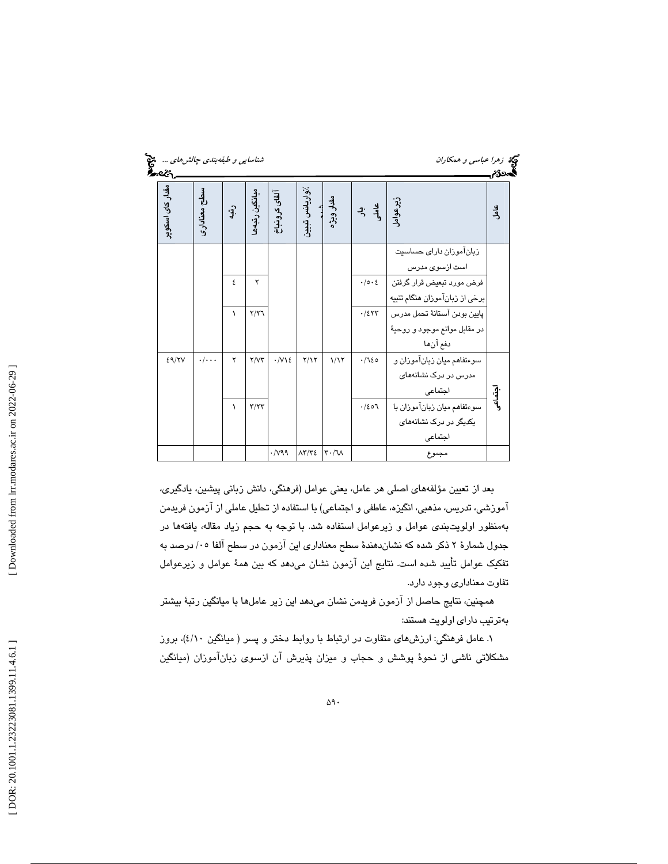| ستي<br>پيدي<br>شناسايي و طبقەبندي چالش هاي |                    |                   |                             |                               | می ز <i>هرا عباسی و همکاران</i><br>گەدى |                                            |                            |                                                                          |                  |
|--------------------------------------------|--------------------|-------------------|-----------------------------|-------------------------------|-----------------------------------------|--------------------------------------------|----------------------------|--------------------------------------------------------------------------|------------------|
| مقدار کای اسکو پر                          | سطح معنادارى       | $\cdot \hat{J}$ . | ميانگين رتبەھ               | آلفاى كرونباخ                 | ⁄واريانس تبييز                          | شند.<br>مقدار ویژه                         | ی بر<br>والۍ               | زيرعوامل                                                                 | <u>ی</u><br>جامل |
|                                            |                    |                   |                             |                               |                                         |                                            |                            | زبانآموزان داراى حساسيت<br>است ازسوی مدرس                                |                  |
|                                            |                    | ٤                 | ۲                           |                               |                                         |                                            | $\cdot/\circ\cdot\epsilon$ | فرض مورد تبعیض قرار گرفتن<br>برخي از زبانآموزان هنگام تنبيه              |                  |
|                                            |                    | ١                 | Y/Y                         |                               |                                         |                                            | .751                       | پایین بودن آستانهٔ تحمل مدرس<br>در مقابل موانع موجود و روحية<br>دفع آنها |                  |
| 29/7V                                      | $\cdot/\cdot\cdot$ | ۲                 | Y/YY                        | $\cdot$ / $\vee$ 1 $\epsilon$ | Y/Y                                     | 1/17                                       | .720                       | سوءتفاهم ميان زبان آموزان و<br>مدرس در درک نشانههای<br>اجتماعى           |                  |
|                                            |                    | ١                 | $\Upsilon/\Upsilon\Upsilon$ |                               |                                         |                                            | .163                       | سوءتفاهم ميان زبانآموزان با<br>یکدیگر در درک نشانههای<br>اجتماعى         | ابتساعی          |
|                                            |                    |                   |                             | $\cdot$ /vaa                  | $\Lambda \Upsilon / \Upsilon$           | $\mathsf{r}\cdot\mathsf{r}\cdot\mathsf{r}$ |                            | مجموع                                                                    |                  |

بعد از تعيين مؤلفههاي اصلي هر عامل ، يعني عوامل (فرهنگي، دانش زباني پيشين، يادگيري، آموزشي، تدريس، مذهبي، انگيزه، عاطفي و اجتماعي) با استفاده از تحليل عاملي از آزمون فريدمن بهمنظور اولويت $\mu$ دى عوامل و زيرعوامل استفاده شد. با توجه به حجم زياد مقاله، يافتهها در جدول شمارهٔ ۲ ذکر شده که نشاندهندهٔ سطح معناداری این آزمون در سطح آلفا ۰۵/ درصد به تفكيك عوامل تأييد شده است. نتايج اين آزمون نشان ميدهد كه بين هم ة عوامل و زيرعوامل تفاوت معناداري وجود دارد.

همچنين، نتايج حاصل از آزمون فريدمن نشان ميدهد اين زير عاملها با ميانگين رتبهٔ بيشتر بهترتيب داراي اولويت هستند:

1. عامل فرهنگي : ارزشهاي متفاوت در ارتباط با روابط دختر و پسر ( ميانگين )10/4 ، بروز مشكلاتي ناشى از نحوهٔ پوشش و حجاب و ميزان پذيرش ان ازسوى زبان!موزان (ميانگين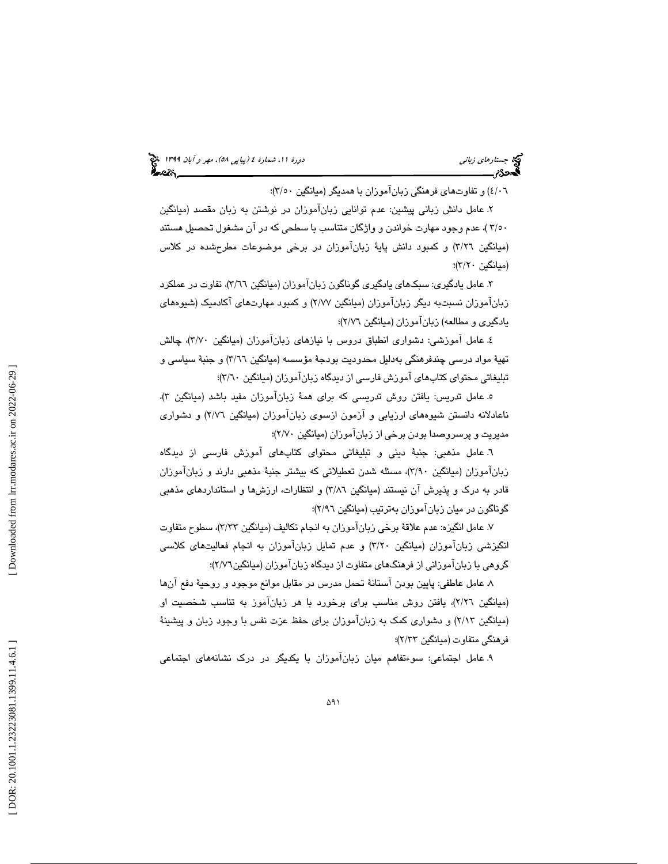(پياپي 58)، مهر و آبان 1399 جستارهاي زباني دورة ،11 شمارة 4

8/۰٦) و تفاوتهاي فرهنگي زباناموزان با همديگر (ميانگين ٣/٥٠)؛

۲. عامل دانش زباني پيشين: عدم توانايي زبان[موزان در نوشتن به زبان مقصد (ميانگين ) 50/3 ، عدم وجود مهارت خواندن و واژگان متناسب با سطحي كه در آن مشغول تحصيل هستند (میانگین ۳/۲٦) و كمبود دانش پایهٔ زبان[موزان در برخی موضوعات مطرحشده در كلاس (ميانگين ۲/۲۰)؛

۳. عامل يادگيري: سبکهاي يادگيري گوناگون زبان[موزان (ميانگين ٣/٦٦)، تفاوت در عملکرد زبانآموزان نسبتبه ديگر زبانآموزان ( ميانگين )77/2 و كمبود مهارتهاي آكادميك (شيوههاي يادگيري و مطالعه) زبانآموزان (ميانگين ٢/٧٦)؛

4. عامل آموزشي : دشواري انطباق دروس با نيازهاي زبانآموزان ( ميانگين )70/3 ، چالش تهيهٔ مواد درسىي چندفرهنگي بەدليل محدوديت بودجهٔ مؤسسه (ميانگين ٣/٦٦) و جنبهٔ سياسىي و تبليغاتي محتواي كتابهاي اموزش فارسي از ديدگاه زباناموزان (ميانگين ٣/٦٠)؛

ه عامل تدريس: يافتن روش تدريسي كه براي همهٔ زبان!موزان مفيد باشد (ميانگين ۳). ناعادلانه دانستن شیوههای ارزیابی و ازمون ازسوی زباناموزان (میانگین ۲/۷٦) و دشواری مديريت و پرسروصدا بودن برخي از زبانآموزان (ميانگين )؛70/2

٦. عامل مذهبي: جنبهٔ ديني و تبليغاتي محتواي كتابهاي آموزش فارسي از ديدگاه زبان[موزان (میانگین ۳/۹۰)، مسئله شدن تعطیلاتی كه بیشتر جنبهٔ مذهبی دارند و زبان[موزان قادر به درك و پذيرش آن نيستند (ميانگين 86/3 ) و انتظارات، ارزشها و استانداردهاي مذهبي گوناگون در ميان زبانIموزان بهترتيب (ميانگين ٢/٩٦)؛

7. عامل انگيزه: عدم علاقهٔ برخي زبانآموزان به انجام تكاليف (ميانگين ٣/٣٣)، سطوح متفاوت انگيزشي زبانآموزان (ميانگين ٢/٢٠) و عدم تمايل زبانآموزان به انجام فعاليتهاي كلاسي گروهی با زباناموزانی از فرهنگهای متفاوت از دیدگاه زباناموزان (میانگین۲/۷٦)؛

 8. عامل عاطفي : پايين بودن آستان ة تحمل مدرس در مقابل موانع موجود و روحي ة دفع آنها (میانگین ۲/۲٦)، یافتن روش مناسب برای برخورد با هر زبان۱موز به تناسب شخصیت او (میانگین ۲/۱۳) و دشواری کمک به زبان[موزان برای حفظ عزت نفس با وجود زبان و پیشینهٔ فرهنگي متفاوت (ميانگين ۲/۳۳)؛

9. عامل اجتماعي : سوءتفاهم ميان زبانآموزان با يكديگر در درك نشانههاي اجتماعي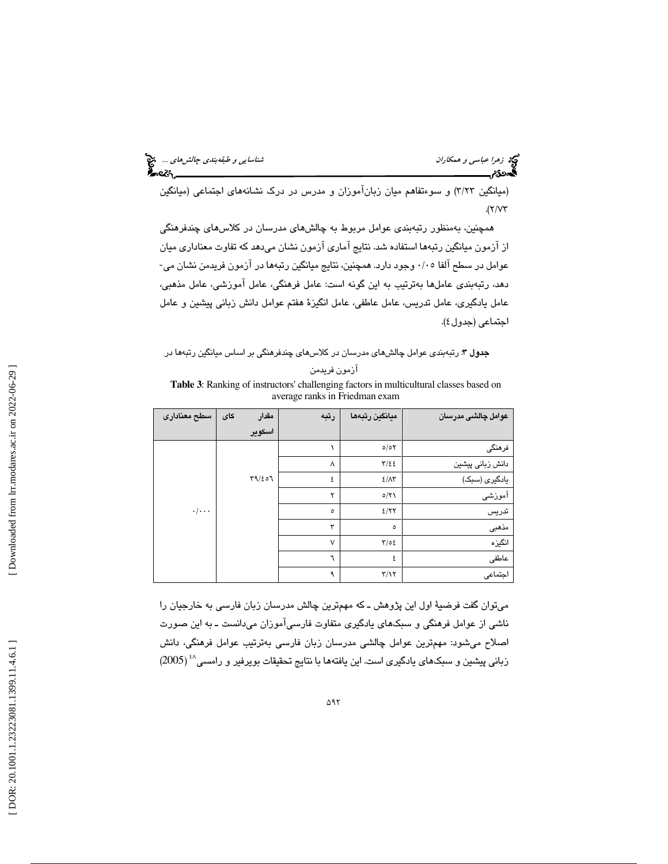(میانگین ۳/۲۳) و سوءتفاهم میان زبان۱موزان و مدرس در درک نشانههای اجتماعی (میانگین  $\mathcal{N}(\mathcal{V})$ 

همچنين به ، منظور رتبهبندي عوامل مربوط به چالشهاي مدرسان در كلاسهاي چندفرهنگي از آزمون ميانگين رتبهها استفاده شد. نتايج آماري آزمون نشان ميدهد كه تفاوت معناداري ميان عوامل در سطح آلفا 05/0 وجود دارد. همچنين ، نتايج ميانگين رتبهها در آزمون فريدمن نشان مي- دهد ، رتبهبندي عاملها بهترتيب به اين گونه است: عامل فرهنگي، عامل آموزشي، عامل مذهبي، عامل يادگيري، عامل تدريس، عامل عاطفي، عامل انگيز ة هفتم عوامل دانش زباني پيشين و عامل اجتماعی (جدول ٤).

#### جدول 3: رتبهبندي عوامل چالشهاي مدرسان در كلاسهاي چندفرهنگي بر اساس ميانگين رتبهها در

|  | ازمون فريدمن |  |
|--|--------------|--|
|--|--------------|--|

**Table 3**: Ranking of instructors' challenging factors in multicultural classes based on average ranks in Friedman exam

| سطح معنادارى       | مقدار<br>كاي | رتبه   | ميانكين رتبهها          | عوامل چالشى مدرسان |
|--------------------|--------------|--------|-------------------------|--------------------|
|                    | اسكوير       |        |                         |                    |
|                    |              |        | 0/0Y                    | فرهنگی             |
|                    |              | ٨      | $\frac{1}{2}$           | دانش زبانى پيشين   |
|                    | T9/207       | ٤      | $2/\lambda$ ۳           | یادگیری (سبک)      |
|                    |              | ۲      | 0/Y                     | آموزشى             |
| $\cdot/\cdot\cdot$ |              | ٥      | 2/77                    | تدريس              |
|                    |              | ۳      | $\circ$                 | مذهبى              |
|                    |              | $\vee$ | $\frac{1}{2}$           | انگیزه             |
|                    |              | ٦      | ٤                       | عاطفى              |
|                    |              | ٩      | $\mathbf{r}/\mathbf{v}$ | اجتماعى            |

ميتوان گفت فرضية اول اين پژوهش ـ كه مهمترين چالش مدرسان زبان فارسي به خارجيان را ناشي از عوامل فرهنگي و سبكهاي يادگيري متفاوت فارسيآموزان ميدانست ـ به اين صورت اصلاح ميشود: مهمترين عوامل چالشي مدرسان زبان فارسي بهترتيب عوامل فرهنگي، دانش زباني پيشين و سبكهاي يادگيري است. اين يافتهها با نتايج تحقيقات بويرفير و رامسي^' (2005)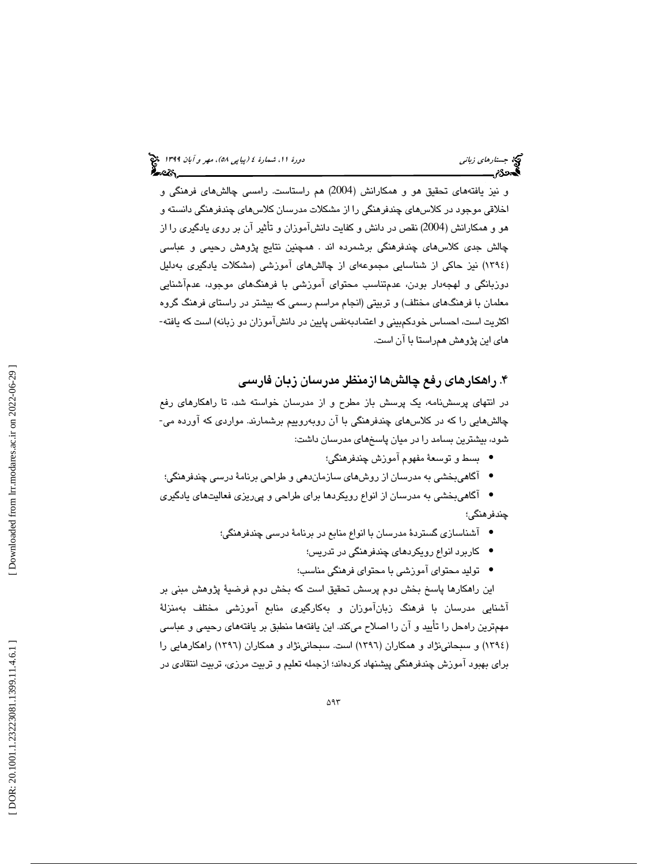و نيز يافتههاي تحقيق هو و همكارانش (2004) هم راستاست. رامسي چالشهاي فرهنگي و اخلاقي موجود در كلاسهاي چندفرهنگي را از مشكلات مدرسان كلاسهاي چندفرهنگي دانسته و هو و همكارانش (2004) نقص در دانش و كفايت دانشآموزان و تأثير آن بر روي يادگيري را از چالش جدي كلاسهاي چندفرهنگي برشمرده اند . همچنين نتايج پژوهش رحيمي و عباسي (١٣٩٤) نيز حاكي از شناسايي مجموعهاي از چالش،هاي اموزشي (مشكلات يادگيري بهدليل دوزبانگي و لهجهدار بودن، عدمتناسب محتواي آموزشي با فرهنگهاي موجود، عدمآشنايي معلمان با فرهنگهاي مختلف) و تربيتي (انجام مراسم رسمي كه بيشتر در راستاي فرهنگ گروه اكثريت است، احساس خودكمبيني و اعتمادبهنفس پايين در دانشآموزان دو زبانه) است كه يافته- هاي اين پژوهش همراستا با آن است.

### . 4 راهكارهاي رفع چالشها ازمنظر مدرسان زبان فارسي

در انتهاي پرسشنامه ، يك پرسش باز مطرح و از مدرسان خواسته شد، تا راهكارهاي رفع چالشهايي را كه در كلاسهاي چندفرهنگي با آن روبهروييم برشمارند. مواردي كه آورده مي- شود، بيشترين بسامد را در ميان پاسخهاي مدرسان داشت:

- بسط و توسعهٔ مفهوم آموزش چندفرهنگي؛
- آگاهيبخشي به مدرسان از روشهاي سازماندهي و طراحي برنامة درسي چندفرهنگي؛ •

آگاهيبخشي به مدرسان از انواع رويكردها براي طراحي و پيريزي فعاليتهاي يادگيري • چندفرهنگي؛

- آشناسازي گستردهٔ مدرسان با انواع منابع در برنامهٔ درسي چندفرهنگي؛
	- كاربرد انواع رويكردهاي چندفرهنگي در تدريس؛ •
	- توليد محتواي آموزشي با محتواي فرهنگي مناسب؛ •

اين راهكارها پاسخ بخش دوم پرسش تحقيق است كه بخش دوم فرضية پژوهش مبني بر آشنايي مدرسان با فرهنگ زبانآموزان و بهكارگيري منابع آموزشي مختلف بهمنزلة مهمترين راهحل را تأييد و آن را اصلاح ميكند. اين يافتهها منطبق بر يافتههاي رحيمي و عباسي (١٣٩٤) و سبحانینژاد و همكاران (١٣٩٦) است. سبحانینژاد و همكاران (١٣٩٦) راهكارهايي را براي بهبود آموزش چندفرهنگي پيشنهاد كردهاند؛ از جمله تعليم و تربيت مرزي، تربيت انتقادي در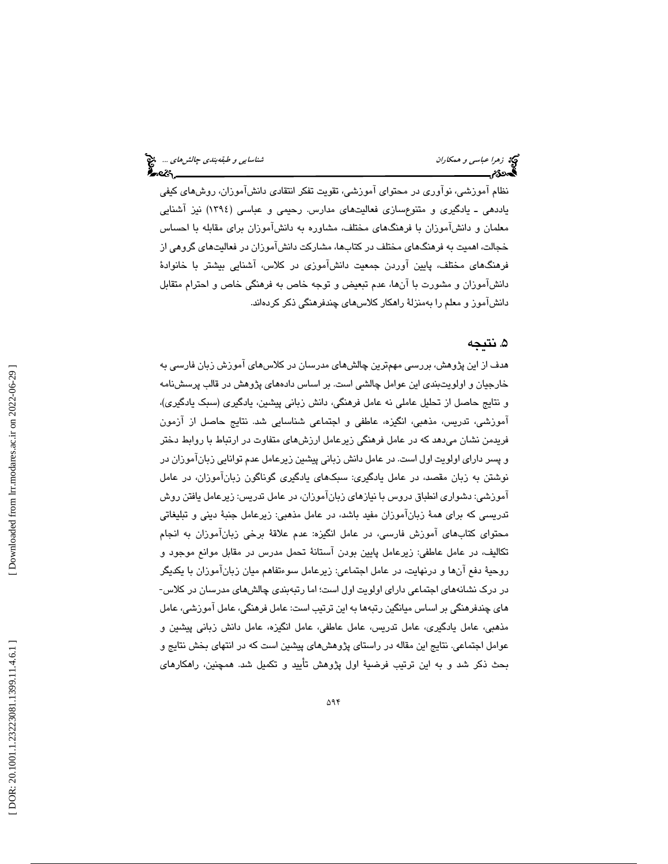نظام آموزشي، نوآوري در محتواي آموزشي، تقويت تفكر انتقادي دانشآموزان، روشهاي كيفي ياددهي ـ يادگيري و متنوعسازي فعاليتهاي مدارس. رحيمي و عباسي (1394) نيز آشنايي معلمان و دانشآموزان با فرهنگهاي مختلف، مشاوره به دانشآموزان براي مقابله با احساس خجالت، اهميت به فرهنگهاي مختلف در كتاب ها، مشاركت دانشآموزان در فعاليتهاي گروهي از فرهنگهاي مختلف ، پايين آوردن جمعيت دانشآموزي در كلاس، آشنايي بيشتر با خانوادة دانشآموزان و مشورت با آنها، عدم تبعیض و توجه خاص به فرهنگی خاص و احترام متقابل دانشآموز و معلم را بهمنزلة راهكار كلاسهاي چندفرهنگي ذكر كردهاند.

#### . 5 نتيجه

هدف از اين پژوهش، بررسي مهم ترين چالش *ه*اي مدرسان در كلاس *هاي* آموزش زبان فارسي به خارجيان و اولويتبندي اين عوامل چالشي است. بر اساس دادههاي پژوهش در قالب پرسشنامه و نتايج حاصل از تحليل عاملي نه عامل فرهنگي، دانش زباني پيشين، يادگيري (سبك يادگيري)، آموزشي، تدريس، مذهبي، انگيزه، عاطفي و اجتماعي شناسايي شد. نتايج حاصل از آزمون فريدمن نشان ميدهد كه در عامل فرهنگي زيرعامل ارزشهاي متفاوت در ارتباط با روابط دختر و پسر داراي اولويت اول است . در عامل دانش زباني پيشين زيرعامل عدم توانايي زبانآموزان در نوشتن به زبان مقصد، در عامل يادگيري: سبكهاي يادگيري گوناگون زبانآموزان، در عامل آموزشي : دشواري انطباق دروس با نيازهاي زبانآموزان، در عامل تدريس : زيرعامل يافتن روش تدريسي كه براي همهٔ زبانآموزان مفيد باشد، در عامل مذهبي: زيرعامل جنبهٔ ديني و تبليغاتي محتواي كتابهاي آموزش فارسي، در عامل انگيزه: عدم علاقهٔ برخي زبانآموزان به انجام تكاليف، در عامل عاطفي: زيرعامل پايين بودن آستانهٔ تحمل مدرس در مقابل موانع موجود و روحيهٔ دفع آنها و درنهايت، در عامل اجتماعي: زيرعامل سوءتفاهم ميان زبان[موزان با يكديگر در درك نشانههاي اجتماعي داراي اولويت اول است؛ اما رتبهبندي چالشهاي مدرسان در كلاس- هاي چندفرهنگي بر اساس ميانگين رتبهها به اين ترتيب است: عامل فرهنگي، عامل آموزشي ، عامل مذهبي، عامل يادگيري، عامل تدريس، عامل عاطفي، عامل انگيزه، عامل دانش زباني پيشين و عوامل اجتماعي. نتايج اين مقاله در راستاي پژوهشهاي پيشين است كه در انتهاي بخش نتايج و بحث ذكر شد و به اين ترتيب فرضية اول پژوهش تأييد و تكميل شد. همچنين ، راهكارهاي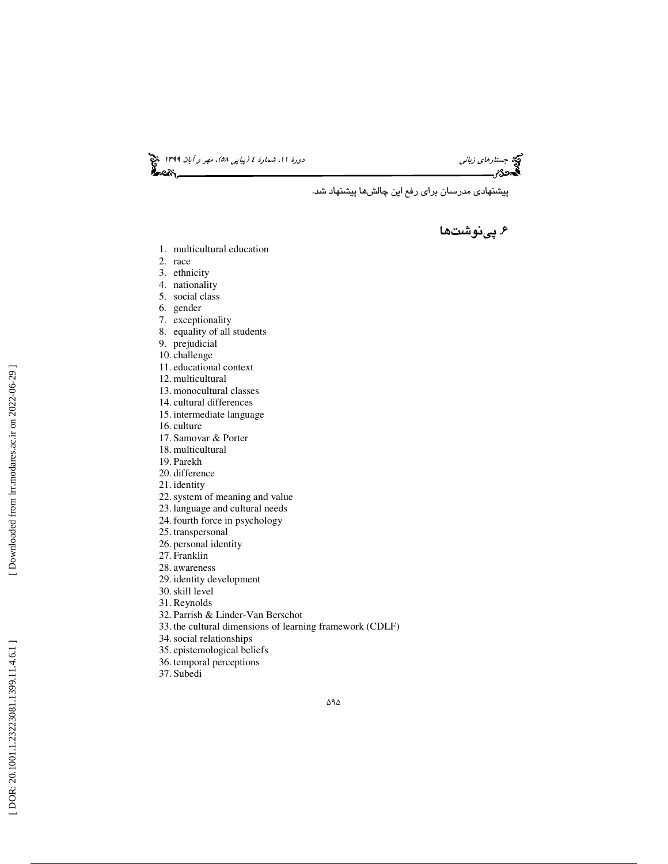(پياپي 58)، مهر و آبان 1399 جستارهاي زباني دورة ،11 شمارة 4

پيشنهادي مدرسان براي رفع اين چالشها پيشنهاد شد .

۶. پینوشتها

- 1. multicultural education
- 2. race
- 3. ethnicity
- 4. nationality
- 5. social class
- 6. gender
- 7. exceptionality
- 8. equality of all students
- 9. prejudicial
- 10. challenge
- 11. educational context
- 12. multicultural
- 13. monocultural classes
- 14. cultural differences
- 15. intermediate language
- 16. culture
- 17. Samovar & Porter
- 18. multicultural
- 19. Parekh
- 20. difference
- 21. identity
- 22.system of meaning and value
- 23. language and cultural needs
- 24. fourth force in psychology
- 25. transpersonal
- 26. personal identity
- 27. Franklin
- 28. awareness
- 29. identity development
- 30.skill level
- 31. Reynolds
- 32. Parrish & Linder-Van Berschot
- 33. the cultural dimensions of learning framework (CDLF)
- 34.social relationships
- 35. epistemological beliefs
- 36. temporal perceptions
- 37. Subedi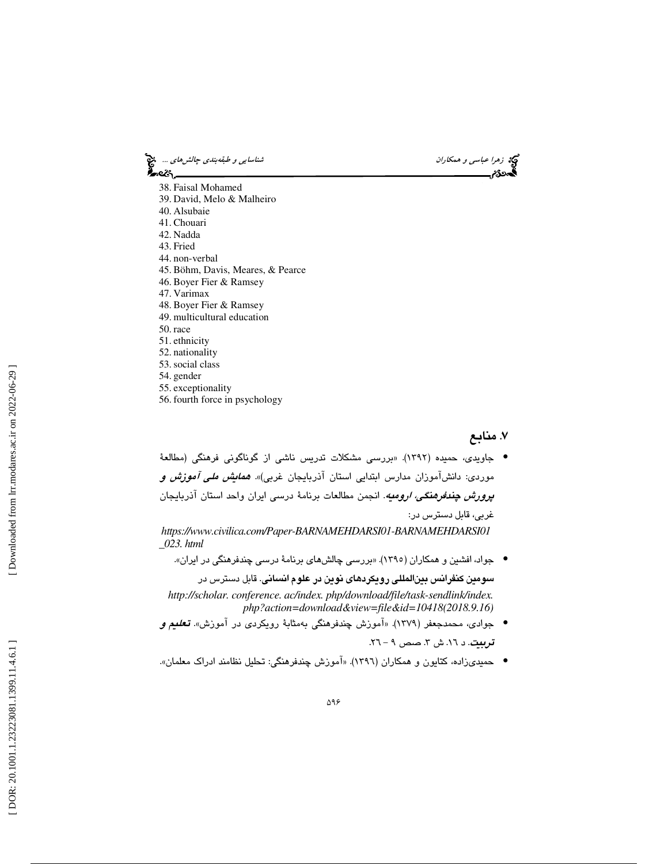زهرا عباس*ي و همكاران شناسايي و طبقهبندي چالشهاي ...*. چ<mark>خ</mark><br>پهروزم<br>پهروزم <u>است دي چ</u> —સ્ટિન 38. Faisal Mohamed 39. David, Melo & Malheiro 40. Alsubaie 41. Chouari 42. Nadda 43. Fried 44. non-verbal 45. Böhm, Davis, Meares, & Pearce 46. Boyer Fier & Ramsey 47. Varimax 48. Boyer Fier & Ramsey 49. multicultural education 50. race 51. ethnicity 52. nationality 53.social class 54. gender 55. exceptionality

56. fourth force in psychology

#### . 7 منابع

جاويدي، حميده (1392). «بررسي مشكلات تدريس ناشي از گوناگوني فرهنگي (مطالعة • موردی: دانشآموزان مدارس ابتدایی استان آذربایجان غربی)». *همایش ملی آموزش و پرورش چندفرهنگي، اروميه*. انجمن مطالعات برنامهٔ درسمی ايران واحد استان آذربايجان<br>غربي، قابل دسترس در:

*https://www.civilica.com/Paper-BARNAMEHDARSI01-BARNAMEHDARSI01 \_023. html*

جواد، افشين و همكاران (1395). «بررسي چالشهاي برنامة درسي چندفرهنگي در ايران». •

سومين كنفرانس بينالمللي رويكردهاي نوين در علوم انساني. قابل دسترس در *http://scholar. conference. ac/index. php/download/file/task-sendlink/index. php?action=download&view=file&id=10418(2018.9.16)*

- جوادي، محمدجعفر (1379). «آموزش چندفرهنگي بهمثابة رويكردي در آموزش». تعليم و <mark>تربيت</mark>. د ١٦. ش ٣. صص ٩ – ٢٦.
- حميديزاده، كتايون و همكاران (1396). «آموزش چندفرهنگي: تحليل نظامند ادراك معلمان». •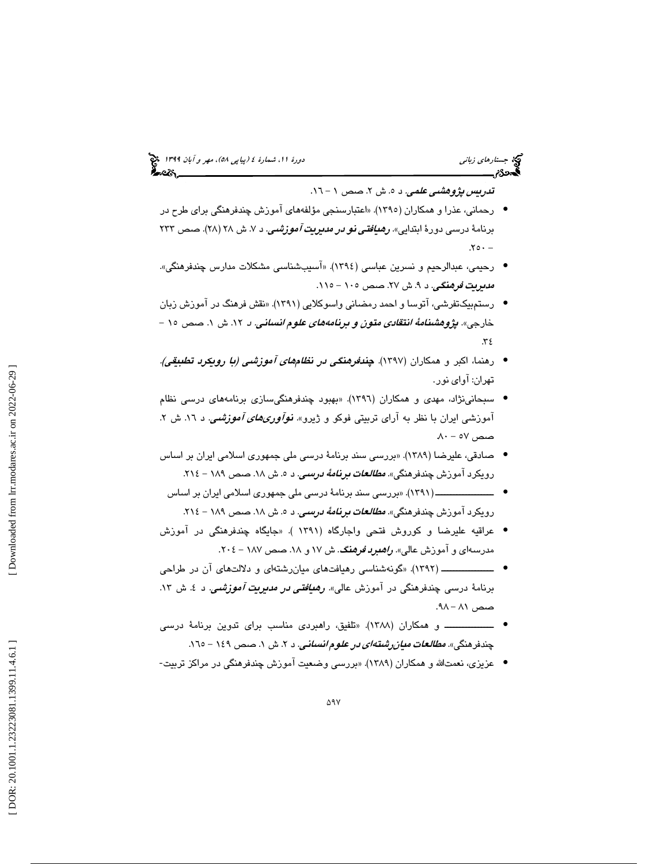## (پياپي 58)، مهر و آبان 1399 جستارهاي زباني دورة ،11 شمارة 4

ت*دريس پژوهشي علمي.* د ٥. ش ٢. صص ١ – ١٦.

- رحماني، عذرا و همكاران (1395). «اعتبارسنجي مؤلفههاي آموزش چندفرهنگي براي طرح در برنامهٔ درسی دورهٔ ابتدایی». *رهیافتی نو در مدیریت آموزشمی*. د ۷. ش ۲۸ (۲۸). صص ۲۳۳  $.70 -$
- رحيمي، عبدالرحيم و نسرين عباسي (1394). «آسيبشناسي مشكلات مدارس چندفرهنگي». *مديريت فرهنگي. د ۹.* ش ۲۷. صص ۱۰۰ – ۱۱۰.
- رستم بيكتفرشي، آتوسا و احمد رمضاني واسوكلايي (1391). «نقش فرهنگ در آموزش زبان خارجی». *پژوهشنامهٔ انتقادی متون و برنامههای علوم انسانی. د* ۱۲. ش ۱. صص ۱۰ – 34.
- رهنما، اكبر و همكاران (1397). چندفرهنگي در نظامهاي آموزشي (با رويكرد تطبيقي). تهران: آواي نور.
- سبحانينژاد، مهدي و همكاران (1396). «بهبود چندفرهنگيسازي برنامههاي درسي نظام آموزشي ايران با نظر به آراي تربيتي فوكو و ژيرو». *نوآوری۵ای آموزشمي.* د ١٦. ش ٢.  $\lambda$ ۰ - ۵۷ هصص
- صادقي، عليرضا (1389). «بررسي سند برنامة درسي ملي جمهوري اسلامي ايران بر اساس رویکرد آموزش چندفرهنگی». *مطالعات برنامهٔ درسعی*. د ۵. ش ۱۸. صص ۱۸۹ – ۲۱٤.
	- ـــــــــــــــــــ (1391). «بررسي سند برنامة درسي ملي جمهوري اسلامي ايران بر اساس رويكرد آموزش چندفرهنگي». *مطالعات برنامهٔ درسي.* د ٥. ش ١٨. صص ١٨٩ - ٢١٤.
- عراقيه عليرضا و كوروش فتحي واجارگاه (1391 ). «جايگاه چندفرهنگي در آموزش مدرسهای و آموزش عالی». *راهدرد فرهنگ.* ش ۱۷ و ۱۸۸ صص ۱۸۷ – ۲۰٤.
- ـــــــــــــــــ (1392). «گونهشناسي رهيافتهاي ميانرشتهاي و دلالتهاي آن در طراحي برنامهٔ درسی چندفرهنگی در آموزش عالی*». رهیافتی در مدیریت آموزشمی*. د ٤. ش ١٣. صص ۸۱ – ۹۸.
- 1388). «تلفيق، راهبردي مناسب براي تدوين برنامة درسي ــــــــــــــــ و همكاران ( چندفرهنگی». *مطالعات میان رشتهای در علوم انسانی. د ۲.* ش ۱. صص ۱٤۹ – ۱٦٥.
- عزیزی، نعمتالله و همکاران (۱۳۸۹). «بررسی وضعیت آموزش چندفرهنگی در مراکز تربیت-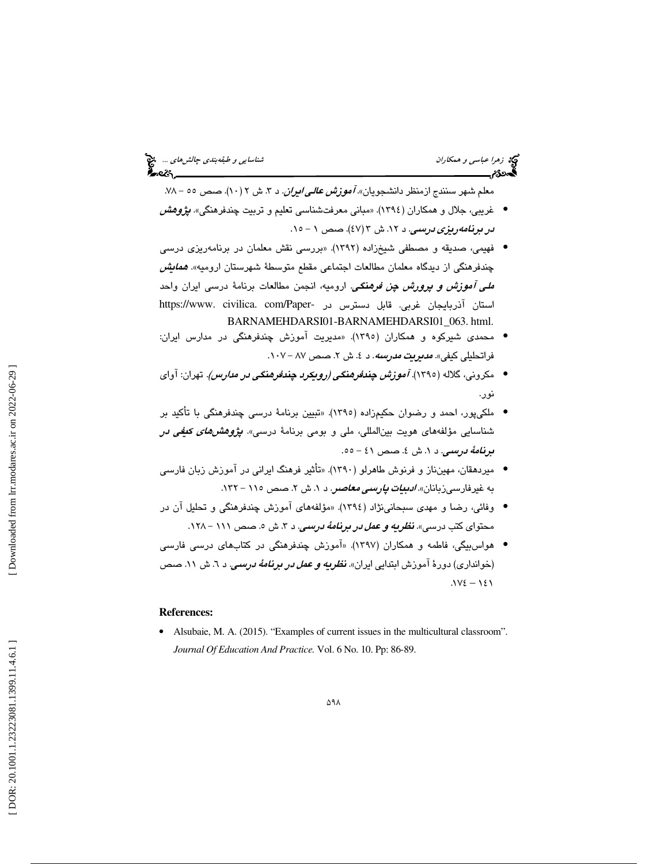معلم شـهر سنندج ازمنظر دانشـجویان».*آموزش عالـی/یران.* د ۳. ش ۲ (۱۰). صـص ٥٥ – ۷۸. غريبي، جلال و همكاران (1394). «مباني معرفتشناسي تعليم و تربيت چندفرهنگي». پژوهش • در برنامه ريزي درسي. د ١٢. ش ٣ (٤٧). صص ١ - ١٥.

- فهيمي، صديقه و مصطفي شيخزاده (1392). «بررسي نقش معلمان در برنامهريزي درسي چندفرهنگي از ديدگاه معلمان مطالعات اجتماعي مقطع متوسطهٔ شهرستان اروميه». *همايش ملي آموزش و پرورش چن فرهنگي.* اروميه، انجمن مطالعات برنامهٔ درس<sub>م</sub> ايران واحد استان آذربايجان غربي. قابل دسترس در -https://www. civilica. com/Paper BARNAMEHDARSI01-BARNAMEHDARSI01\_063. html.
- محمدي شيركوه و همكاران (1395). «مديريت آموزش چندفرهنگي در مدارس ايران: فراتحلیلی کیفی*». مدیریت مدرسه.* د ٤. ش ۲. صص ۸۷ – ۰۱۰۷.
- مكروني، گلاله (1395). آموزش چندفرهنگي (رويكرد چندفرهنگي در مدارس). تهران: آواي نور.
- ملكيپور، احمد و رضوان حكيمزاده (1395). «تبيين برنامة درسي چندفرهنگي با تأكيد بر شناسایی مؤلفههای هویت بین|لمللی، ملی و بومی برنامهٔ درسی». *پژوهشهای کیفی د*ر <mark>برنا*مهٔ درسی. د ۱. ش ٤. ص*ص ٤١ – ٥٥.</mark>
- ميردهقان، مهينناز و فرنوش طاهرلو (1390). «تأثير فرهنگ ايراني در آموزش زبان فارسي به غیرفارسیزبانان*». ادبیات پارسی معاصر. د ۱.* ش ۲. صص ۱۱۵ – ۱۳۲.
- وفائي، رضا و مهدي سبحانينژاد (1394). «مؤلفههاي آموزش چندفرهنگي و تحليل آن در محتوای کتب درسی». **ن***ظریه و عمل در برنامهٔ درسی***.** د ۳. ش ۵. صص ۱۱۱ – ۱۲۸.
- هواسبيگي، فاطمه و همكاران (1397). «آموزش چندفرهنگي در كتابهاي درسي فارسي (خوانداری) دورهٔ آموزش ابتدایی ایران». **ن***ظریه و عمل در برنامهٔ درسمی.* **د ٦.** ش ١١. صص  $.1Y\epsilon - 1\epsilon 1$

#### **References:**

• Alsubaie, M. A. (2015). "Examples of current issues in the multicultural classroom". *Journal Of Education And Practice.* Vol. 6 No. 10. Pp: 86-89.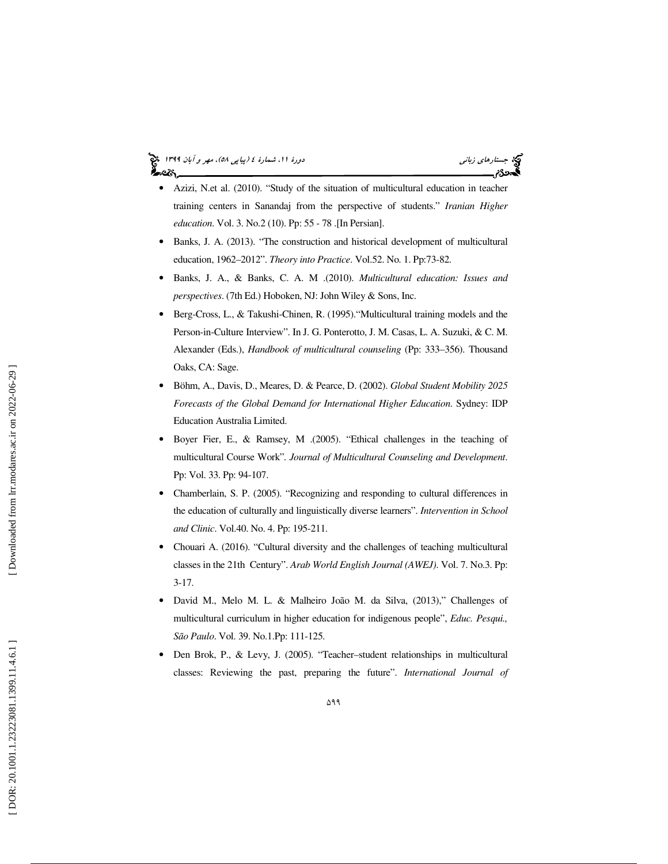# (پياپي 58)، مهر و آبان 1399 جستارهاي زباني دورة ،11 شمارة 4



- Azizi, N.et al. (2010). "Study of the situation of multicultural education in teacher training centers in Sanandaj from the perspective of students." *Iranian Higher education*. Vol. 3. No.2 (10). Pp: 55 - 78 . [In Persian].
- Banks, J. A. (2013). "The construction and historical development of multicultural education, 1962–2012". *Theory into Practice*. Vol.52. No. 1. Pp:73-82.
- Banks, J. A., & Banks, C. A. M .(2010). *Multicultural education: Issues and perspectives*. (7th Ed.) Hoboken, NJ: John Wiley & Sons, Inc.
- Berg-Cross, L., & Takushi-Chinen, R. (1995)."Multicultural training models and the Person-in-Culture Interview". In J. G. Ponterotto, J. M. Casas, L. A. Suzuki, & C. M. Alexander (Eds.), *Handbook of multicultural counseling* (Pp: 333–356). Thousand Oaks, CA: Sage.
- Böhm, A., Davis, D., Meares, D. & Pearce, D. (2002). *Global Student Mobility 2025 Forecasts of the Global Demand for International Higher Education*. Sydney: IDP Education Australia Limited.
- Boyer Fier, E., & Ramsey, M .(2005). "Ethical challenges in the teaching of multicultural Course Work"*. Journal of Multicultural Counseling and Development*. Pp: Vol. 33. Pp: 94-107.
- Chamberlain, S. P. (2005). "Recognizing and responding to cultural differences in the education of culturally and linguistically diverse learners". *Intervention in School and Clinic*. Vol.40. No. 4. Pp: 195-211.
- Chouari A. (2016). "Cultural diversity and the challenges of teaching multicultural classes in the 21th Century". *Arab World English Journal (AWEJ)*. Vol. 7. No.3. Pp: 3-17.
- David M., Melo M. L. & Malheiro João M. da Silva, (2013)," Challenges of multicultural curriculum in higher education for indigenous people", *Educ. Pesqui., São Paulo*. Vol. 39. No.1.Pp: 111-125.
- Den Brok, P., & Levy, J. (2005). "Teacher–student relationships in multicultural classes: Reviewing the past, preparing the future". *International Journal of*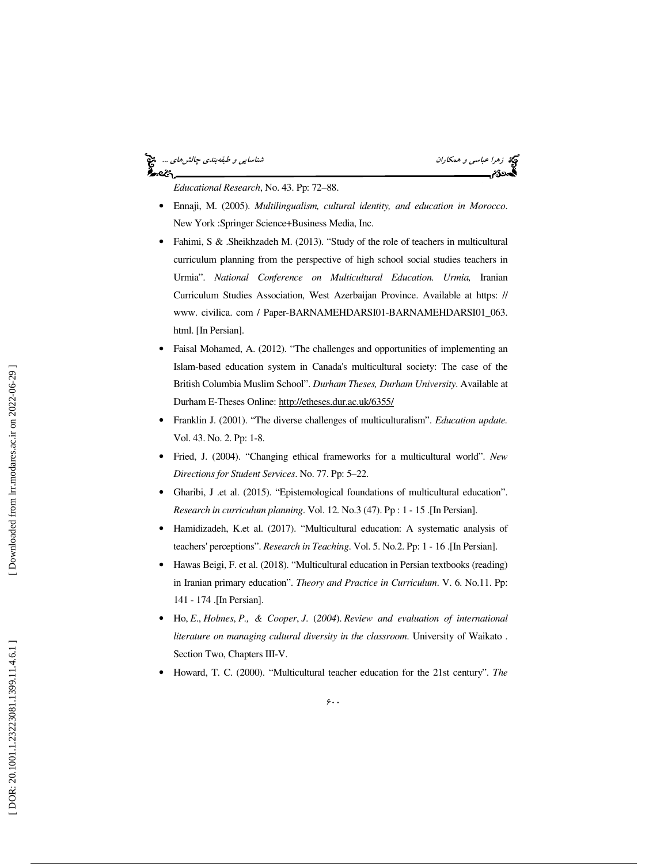#### نه زهرا عباس*ي و همكاران* شناسايي *و طبقهبندي چالشهاي ...*. چ<mark>خ</mark><br>گ**ن در**مراسی سندي پارستان شناسايي بندي چالي چالي پارستان در است.<br>گن در جالي پارستان بندي پارستان بندي پارستان بندي پارستان در است. કૂં∼લ\

*Educational Research*, No. 43. Pp: 72–88.

- Ennaji, M. (2005). *Multilingualism, cultural identity, and education in Morocco*. New York :Springer Science+Business Media, Inc.
- Fahimi, S & .Sheikhzadeh M. (2013). "Study of the role of teachers in multicultural curriculum planning from the perspective of high school social studies teachers in Urmia". *National Conference on Multicultural Education. Urmia,* Iranian Curriculum Studies Association, West Azerbaijan Province. Available at https: // www. civilica. com / Paper-BARNAMEHDARSI01-BARNAMEHDARSI01\_063. html. [In Persian].
- Faisal Mohamed, A. (2012). "The challenges and opportunities of implementing an Islam-based education system in Canada's multicultural society: The case of the British Columbia Muslim School". *Durham Theses, Durham University*. Available at Durham E-Theses Online: http://etheses.dur.ac.uk/6355/
- Franklin J. (2001). "The diverse challenges of multiculturalism". *Education update.* Vol. 43. No. 2. Pp: 1-8.
- Fried, J. (2004). "Changing ethical frameworks for a multicultural world". *New Directions for Student Services*. No. 77. Pp: 5–22.
- Gharibi, J .et al. (2015). "Epistemological foundations of multicultural education". *Research in curriculum planning*. Vol. 12. No.3 (47). Pp : 1 - 15 . [In Persian].
- Hamidizadeh, K.et al. (2017). "Multicultural education: A systematic analysis of teachers' perceptions". *Research in Teaching*. Vol. 5. No.2. Pp: 1 - 16 . [In Persian].
- Hawas Beigi, F. et al. (2018). "Multicultural education in Persian textbooks (reading) in Iranian primary education". *Theory and Practice in Curriculum*. V. 6. No.11. Pp: 141 - 174 . [In Persian].
- Ho, *E*., *Holmes*, *P., & Cooper*, *J*. (*2004*). *Review and evaluation of international literature on managing cultural diversity in the classroom*. University of Waikato . Section Two, Chapters III-V.
- Howard, T. C. (2000). "Multicultural teacher education for the 21st century". *The*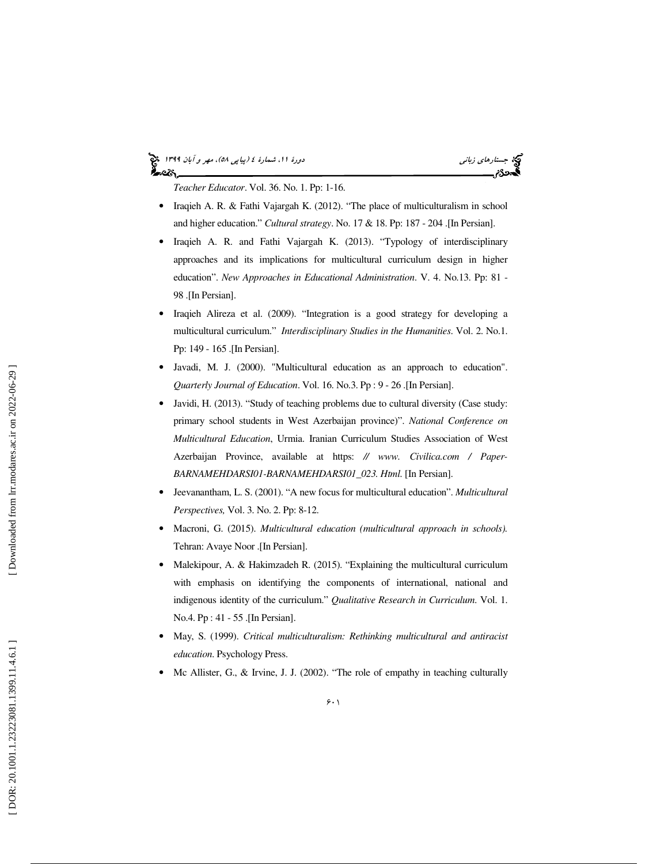# (پياپي 58)، مهر و آبان 1399 جستارهاي زباني دورة ،11 شمارة 4

*Teacher Educator*. Vol. 36. No. 1. Pp: 1-16.

- Iraqieh A. R. & Fathi Vajargah K. (2012). "The place of multiculturalism in school and higher education." *Cultural strategy*. No. 17 & 18. Pp: 187 - 204 . [In Persian].
- Iraqieh A. R. and Fathi Vajargah K. (2013). "Typology of interdisciplinary approaches and its implications for multicultural curriculum design in higher education". *New Approaches in Educational Administration*. V. 4. No.13. Pp: 81 - 98 .[In Persian].
- Iraqieh Alireza et al. (2009). "Integration is a good strategy for developing a multicultural curriculum." *Interdisciplinary Studies in the Humanities*. Vol. 2. No.1. Pp: 149 - 165 . [In Persian].
- Javadi, M. J. (2000). "Multicultural education as an approach to education". *Quarterly Journal of Education*. Vol. 16. No.3. Pp : 9 - 26 . [In Persian].
- Javidi, H. (2013). "Study of teaching problems due to cultural diversity (Case study: primary school students in West Azerbaijan province)". *National Conference on Multicultural Education*, Urmia. Iranian Curriculum Studies Association of West Azerbaijan Province, available at https: *// www. Civilica.com / Paper-BARNAMEHDARSI01-BARNAMEHDARSI01\_023. Html.* [In Persian].
- Jeevanantham, L. S. (2001). "A new focus for multicultural education". *Multicultural Perspectives,* Vol. 3. No. 2. Pp: 8-12.
- Macroni, G. (2015). *Multicultural education (multicultural approach in schools).* Tehran: Avaye Noor . [In Persian].
- Malekipour, A. & Hakimzadeh R. (2015). "Explaining the multicultural curriculum with emphasis on identifying the components of international, national and indigenous identity of the curriculum." *Qualitative Research in Curriculum*. Vol. 1. No.4. Pp : 41 - 55 . [In Persian].
- May, S. (1999). *Critical multiculturalism: Rethinking multicultural and antiracist education*. Psychology Press.
- Mc Allister, G., & Irvine, J. J. (2002). "The role of empathy in teaching culturally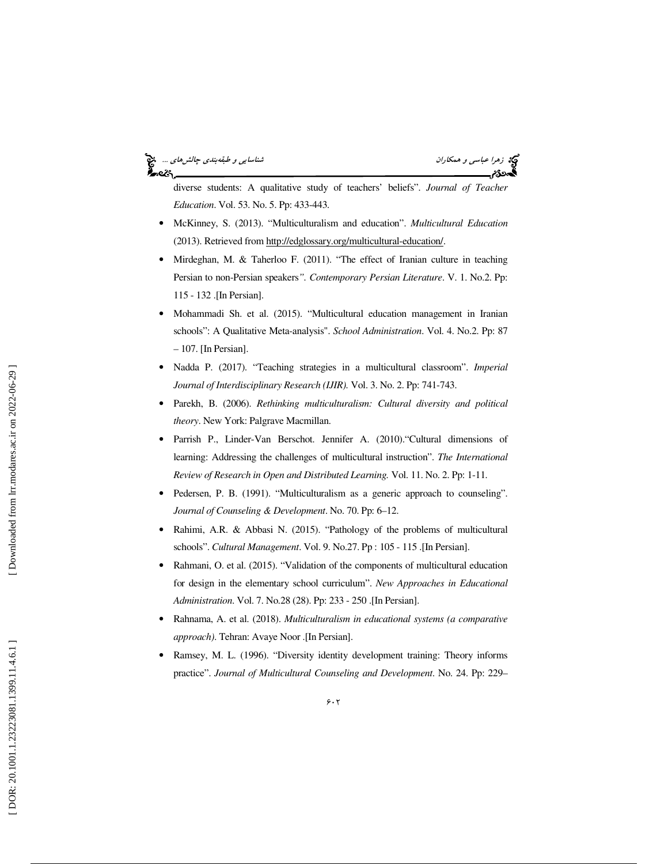### دهد زهرا عباس*ي و همكاران* ...<br>دهد است و است و است و است و است و طبقه بندي چالشهاي و طبقه بندي چالشهاي ... و بندي چالشهاي ...<br>او ست و ست و است و است و است و است و است و است و است و است و است و است و طبقه بندي چالشهاي ... ీంలు.

diverse students: A qualitative study of teachers' beliefs". *Journal of Teacher Education*. Vol. 53. No. 5. Pp: 433-443.

- McKinney, S. (2013). "Multiculturalism and education". *Multicultural Education* (2013). Retrieved from http://edglossary.org/multicultural-education/.
- Mirdeghan, M. & Taherloo F. (2011). "The effect of Iranian culture in teaching Persian to non-Persian speakers*". Contemporary Persian Literature*. V. 1. No.2. Pp: 115 - 132 . [In Persian].
- Mohammadi Sh. et al. (2015). "Multicultural education management in Iranian schools": A Qualitative Meta-analysis". *School Administration*. Vol. 4. No.2. Pp: 87 – 107. [In Persian].
- Nadda P. (2017). "Teaching strategies in a multicultural classroom". *Imperial Journal of Interdisciplinary Research (IJIR).* Vol. 3. No. 2. Pp: 741-743.
- Parekh, B. (2006). *Rethinking multiculturalism: Cultural diversity and political theory*. New York: Palgrave Macmillan.
- Parrish P., Linder-Van Berschot. Jennifer A. (2010)."Cultural dimensions of learning: Addressing the challenges of multicultural instruction". *The International Review of Research in Open and Distributed Learning .* Vol. 11. No. 2. Pp: 1-11.
- Pedersen, P. B. (1991). "Multiculturalism as a generic approach to counseling". *Journal of Counseling & Development*. No. 70. Pp: 6–12.
- Rahimi, A.R. & Abbasi N. (2015). "Pathology of the problems of multicultural schools". *Cultural Management*. Vol. 9. No.27. Pp : 105 - 115 . [In Persian].
- Rahmani, O. et al. (2015). "Validation of the components of multicultural education for design in the elementary school curriculum". *New Approaches in Educational Administration*. Vol. 7. No.28 (28). Pp: 233 - 250 . [In Persian].
- Rahnama, A. et al. (2018). *Multiculturalism in educational systems (a comparative approach)*. Tehran: Avaye Noor . [In Persian].
- Ramsey, M. L. (1996). "Diversity identity development training: Theory informs practice". *Journal of Multicultural Counseling and Development*. No. 24. Pp: 229–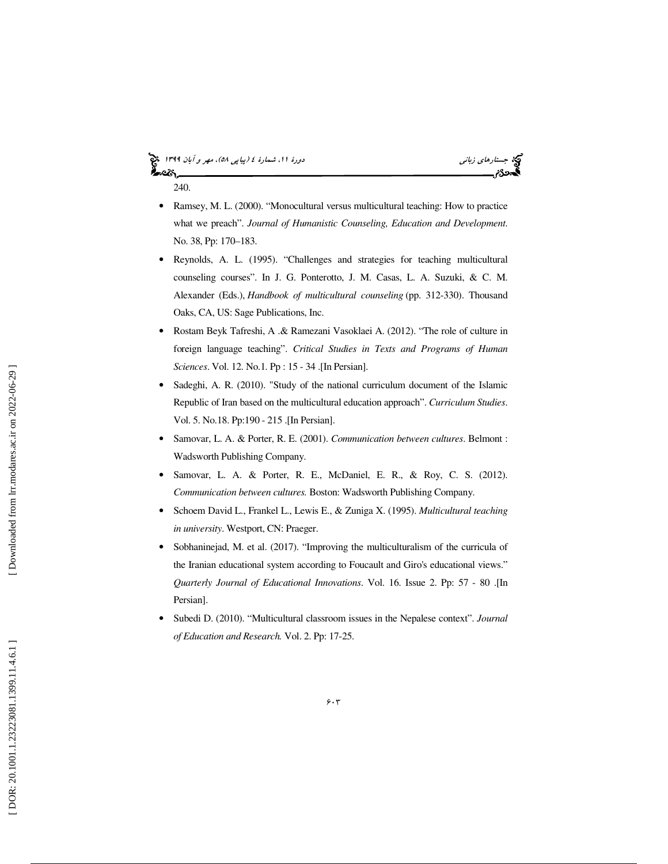### (پياپي 58)، مهر و آبان 1399 جستارهاي زباني دورة ،11 شمارة 4 240.

- 
- Ramsey, M. L. (2000). "Monocultural versus multicultural teaching: How to practice what we preach". *Journal of Humanistic Counseling, Education and Development*. No. 38, Pp: 170–183.
- Reynolds, A. L. (1995). "Challenges and strategies for teaching multicultural counseling courses". In J. G. Ponterotto, J. M. Casas, L. A. Suzuki, & C. M. Alexander (Eds.), *Handbook of multicultural counseling* (pp. 312-330). Thousand Oaks, CA, US: Sage Publications, Inc.
- Rostam Beyk Tafreshi, A .& Ramezani Vasoklaei A. (2012). "The role of culture in foreign language teaching". *Critical Studies in Texts and Programs of Human Sciences*. Vol. 12. No.1. Pp : 15 - 34 . [In Persian].
- Sadeghi, A. R. (2010). "Study of the national curriculum document of the Islamic Republic of Iran based on the multicultural education approach". *Curriculum Studies*. Vol. 5. No.18. Pp:190 - 215 . [In Persian].
- Samovar, L. A. & Porter, R. E. (2001). *Communication between cultures*. Belmont : Wadsworth Publishing Company.
- Samovar, L. A. & Porter, R. E., McDaniel, E. R., & Roy, C. S. (2012). *Communication between cultures.* Boston: Wadsworth Publishing Company.
- Schoem David L., Frankel L., Lewis E., & Zuniga X. (1995). *Multicultural teaching in university*. Westport, CN: Praeger.
- Sobhaninejad, M. et al. (2017). "Improving the multiculturalism of the curricula of the Iranian educational system according to Foucault and Giro's educational views." *Quarterly Journal of Educational Innovations*. Vol. 16. Issue 2. Pp: 57 - 80 . [In Persian].
- Subedi D. (2010). "Multicultural classroom issues in the Nepalese context". *Journal of Education and Research.* Vol. 2. Pp: 17-25.